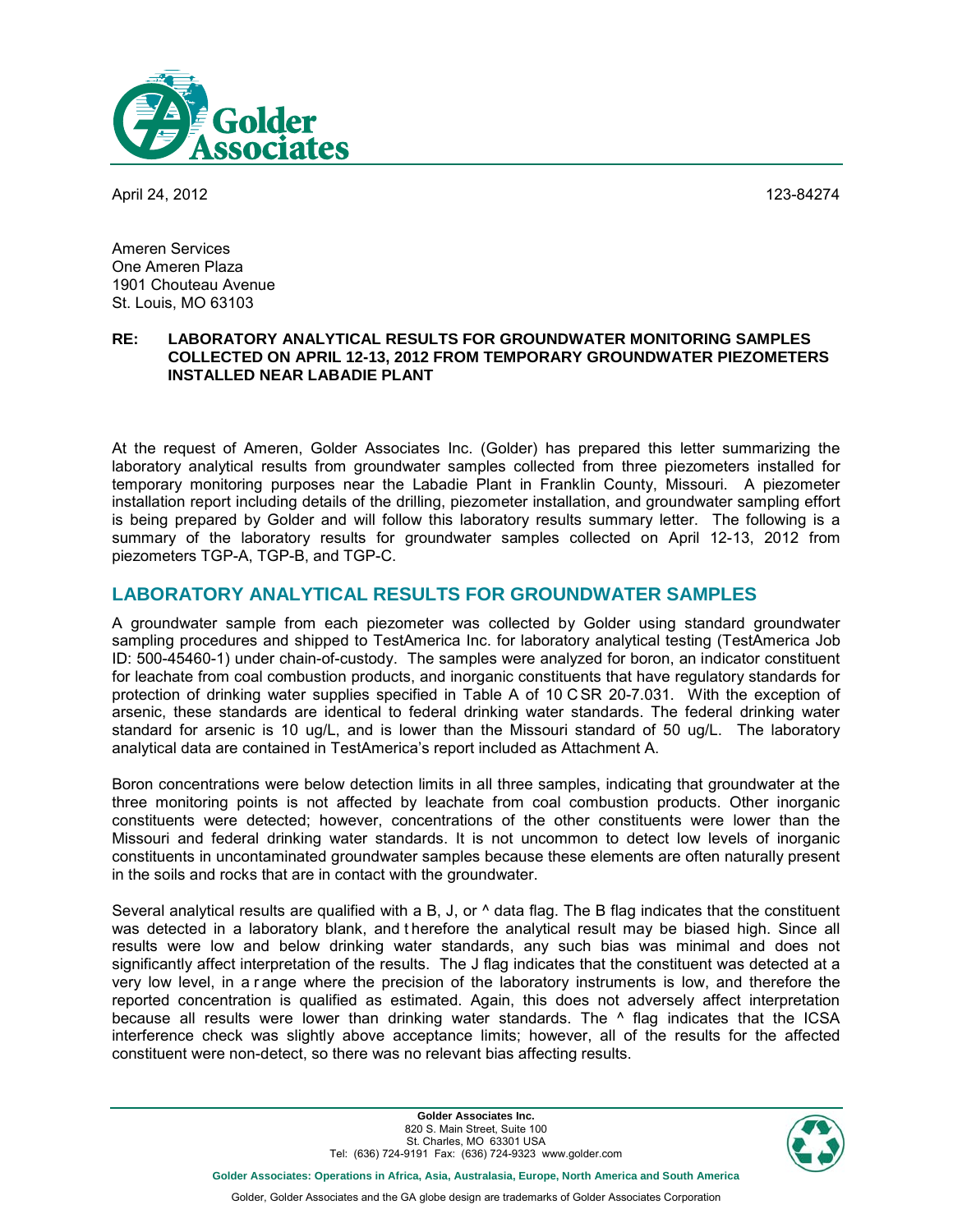

April 24, 2012 123-84274

Ameren Services One Ameren Plaza 1901 Chouteau Avenue St. Louis, MO 63103

#### **RE: LABORATORY ANALYTICAL RESULTS FOR GROUNDWATER MONITORING SAMPLES COLLECTED ON APRIL 12-13, 2012 FROM TEMPORARY GROUNDWATER PIEZOMETERS INSTALLED NEAR LABADIE PLANT**

At the request of Ameren, Golder Associates Inc. (Golder) has prepared this letter summarizing the laboratory analytical results from groundwater samples collected from three piezometers installed for temporary monitoring purposes near the Labadie Plant in Franklin County, Missouri. A piezometer installation report including details of the drilling, piezometer installation, and groundwater sampling effort is being prepared by Golder and will follow this laboratory results summary letter. The following is a summary of the laboratory results for groundwater samples collected on April 12-13, 2012 from piezometers TGP-A, TGP-B, and TGP-C.

#### **LABORATORY ANALYTICAL RESULTS FOR GROUNDWATER SAMPLES**

A groundwater sample from each piezometer was collected by Golder using standard groundwater sampling procedures and shipped to TestAmerica Inc. for laboratory analytical testing (TestAmerica Job ID: 500-45460-1) under chain-of-custody. The samples were analyzed for boron, an indicator constituent for leachate from coal combustion products, and inorganic constituents that have regulatory standards for protection of drinking water supplies specified in Table A of 10 C SR 20-7.031. With the exception of arsenic, these standards are identical to federal drinking water standards. The federal drinking water standard for arsenic is 10 ug/L, and is lower than the Missouri standard of 50 ug/L. The laboratory analytical data are contained in TestAmerica's report included as Attachment A.

Boron concentrations were below detection limits in all three samples, indicating that groundwater at the three monitoring points is not affected by leachate from coal combustion products. Other inorganic constituents were detected; however, concentrations of the other constituents were lower than the Missouri and federal drinking water standards. It is not uncommon to detect low levels of inorganic constituents in uncontaminated groundwater samples because these elements are often naturally present in the soils and rocks that are in contact with the groundwater.

Several analytical results are qualified with a B, J, or  $\land$  data flag. The B flag indicates that the constituent was detected in a laboratory blank, and t herefore the analytical result may be biased high. Since all results were low and below drinking water standards, any such bias was minimal and does not significantly affect interpretation of the results. The J flag indicates that the constituent was detected at a very low level, in a r ange where the precision of the laboratory instruments is low, and therefore the reported concentration is qualified as estimated. Again, this does not adversely affect interpretation because all results were lower than drinking water standards. The ^ flag indicates that the ICSA interference check was slightly above acceptance limits; however, all of the results for the affected constituent were non-detect, so there was no relevant bias affecting results.

> **Golder Associates Inc.** 820 S. Main Street, Suite 100 St. Charles, MO 63301 USA Tel: (636) 724-9191 Fax: (636) 724-9323 www.golder.com



**Golder Associates: Operations in Africa, Asia, Australasia, Europe, North America and South America**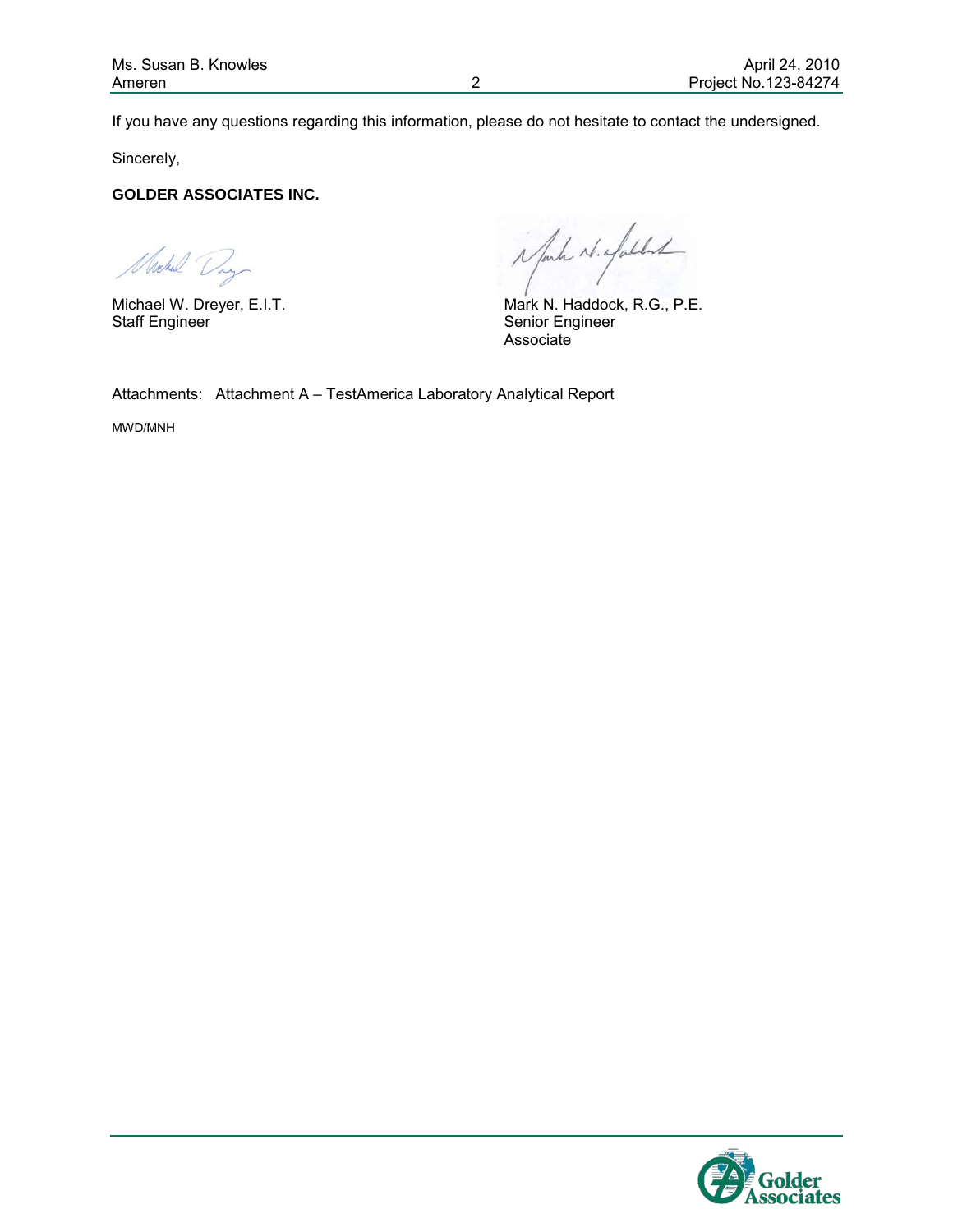If you have any questions regarding this information, please do not hesitate to contact the undersigned.

Sincerely,

#### **GOLDER ASSOCIATES INC.**

Nochel Day

inform is expected

Michael W. Dreyer, E.I.T. Mark N. Haddock, R.G., P.E. Staff Engineer<br>Staff Engineer Senior Engineer Associate

Attachments: Attachment A – TestAmerica Laboratory Analytical Report

MWD/MNH

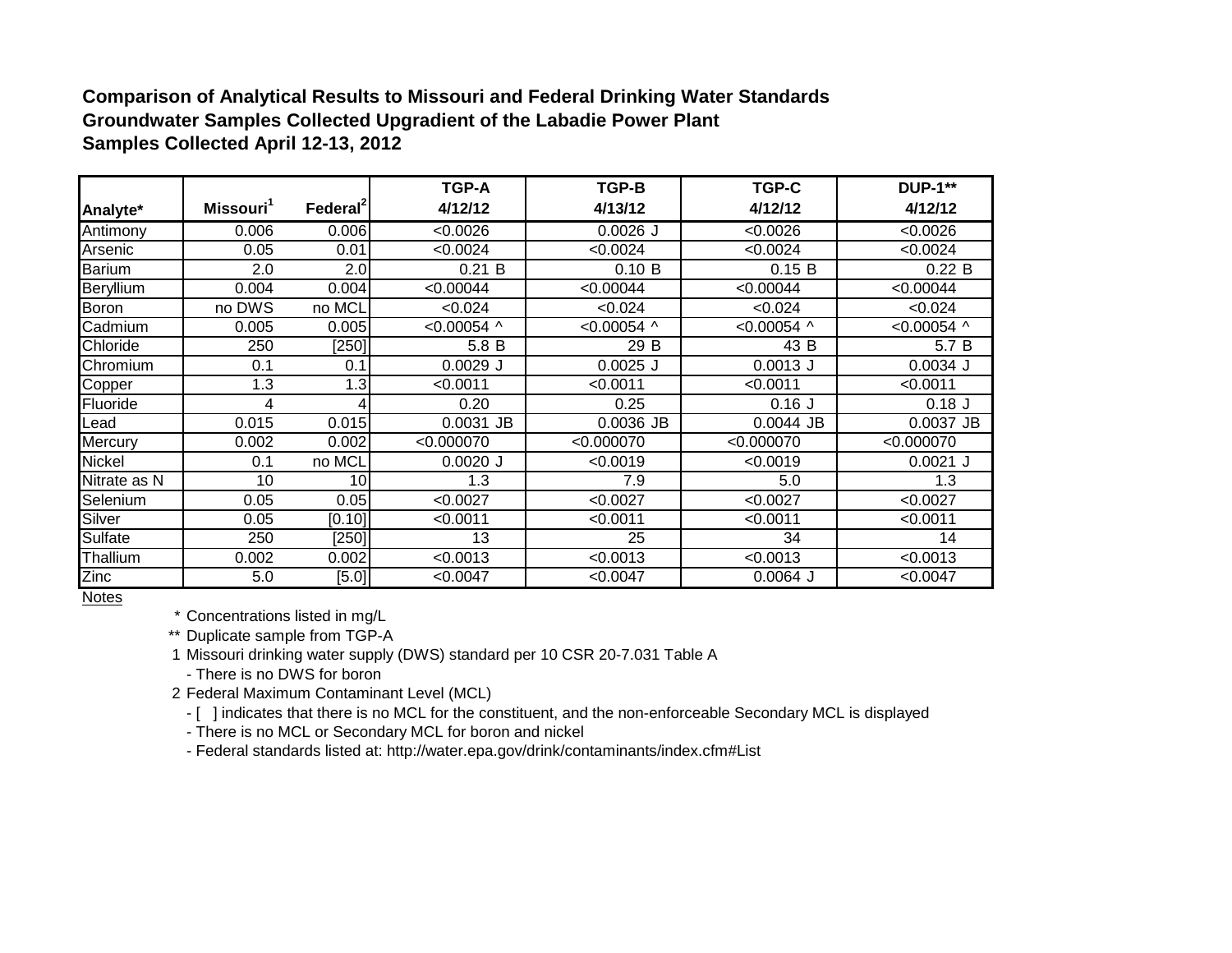#### **Comparison of Analytical Results to Missouri and Federal Drinking Water Standards Groundwater Samples Collected Upgradient of the Labadie Power Plant Samples Collected April 12-13, 2012**

|                |                       |                      | <b>TGP-A</b>    | TGP-B         | TGP-C            | <b>DUP-1**</b> |
|----------------|-----------------------|----------------------|-----------------|---------------|------------------|----------------|
| Analyte*       | Missouri <sup>1</sup> | Federal <sup>2</sup> | 4/12/12         | 4/13/12       | 4/12/12          | 4/12/12        |
| Antimony       | 0.006                 | 0.006                | $\sqrt{0.0026}$ | $0.0026$ J    | < 0.0026         | < 0.0026       |
| Arsenic        | 0.05                  | 0.01                 | < 0.0024        | < 0.0024      | < 0.0024         | < 0.0024       |
| Barium         | 2.0                   | 2.0                  | 0.21 B          | 0.10 B        | 0.15 B           | 0.22 B         |
| Beryllium      | 0.004                 | 0.004                | < 0.00044       | < 0.00044     | < 0.00044        | < 0.00044      |
| Boron          | no DWS                | no MCL               | < 0.024         | < 0.024       | < 0.024          | < 0.024        |
| Cadmium        | 0.005                 | 0.005                | $< 0.00054$ ^   | $< 0.00054$ ^ | <0.00054 $\land$ | $< 0.00054$ ^  |
| Chloride       | 250                   | [250]                | 5.8 B           | 29 B          | 43 B             | 5.7 B          |
| Chromium       | 0.1                   | 0.1                  | $0.0029$ J      | $0.0025$ J    | $0.0013$ J       | $0.0034$ J     |
| Copper         | 1.3                   | 1.3                  | < 0.0011        | < 0.0011      | < 0.0011         | < 0.0011       |
| Fluoride       | 4                     | 4                    | 0.20            | 0.25          | $0.16$ J         | $0.18$ J       |
| _ead           | 0.015                 | 0.015                | 0.0031 JB       | $0.0036$ JB   | $0.0044$ JB      | 0.0037 JB      |
| Mercury        | 0.002                 | 0.002                | < 0.000070      | < 0.000070    | < 0.000070       | < 0.000070     |
| Nickel         | 0.1                   | no MCL               | $0.0020$ J      | < 0.0019      | < 0.0019         | $0.0021$ J     |
| Nitrate as N   | 10                    | 10                   | 1.3             | 7.9           | 5.0              | 1.3            |
| Selenium       | 0.05                  | 0.05                 | < 0.0027        | < 0.0027      | < 0.0027         | < 0.0027       |
| Silver         | 0.05                  | [0.10]               | < 0.0011        | < 0.0011      | < 0.0011         | < 0.0011       |
| <b>Sulfate</b> | 250                   | [250]                | 13              | 25            | 34               | 14             |
| Thallium       | 0.002                 | 0.002                | < 0.0013        | < 0.0013      | < 0.0013         | < 0.0013       |
| Zinc           | 5.0                   | $[5.0]$              | < 0.0047        | < 0.0047      | $0.0064$ J       | < 0.0047       |

Notes

\* Concentrations listed in mg/L

\*\* Duplicate sample from TGP-A

1 Missouri drinking water supply (DWS) standard per 10 CSR 20-7.031 Table A

- There is no DWS for boron

2 Federal Maximum Contaminant Level (MCL)

- [ ] indicates that there is no MCL for the constituent, and the non-enforceable Secondary MCL is displayed

- There is no MCL or Secondary MCL for boron and nickel

- Federal standards listed at: http://water.epa.gov/drink/contaminants/index.cfm#List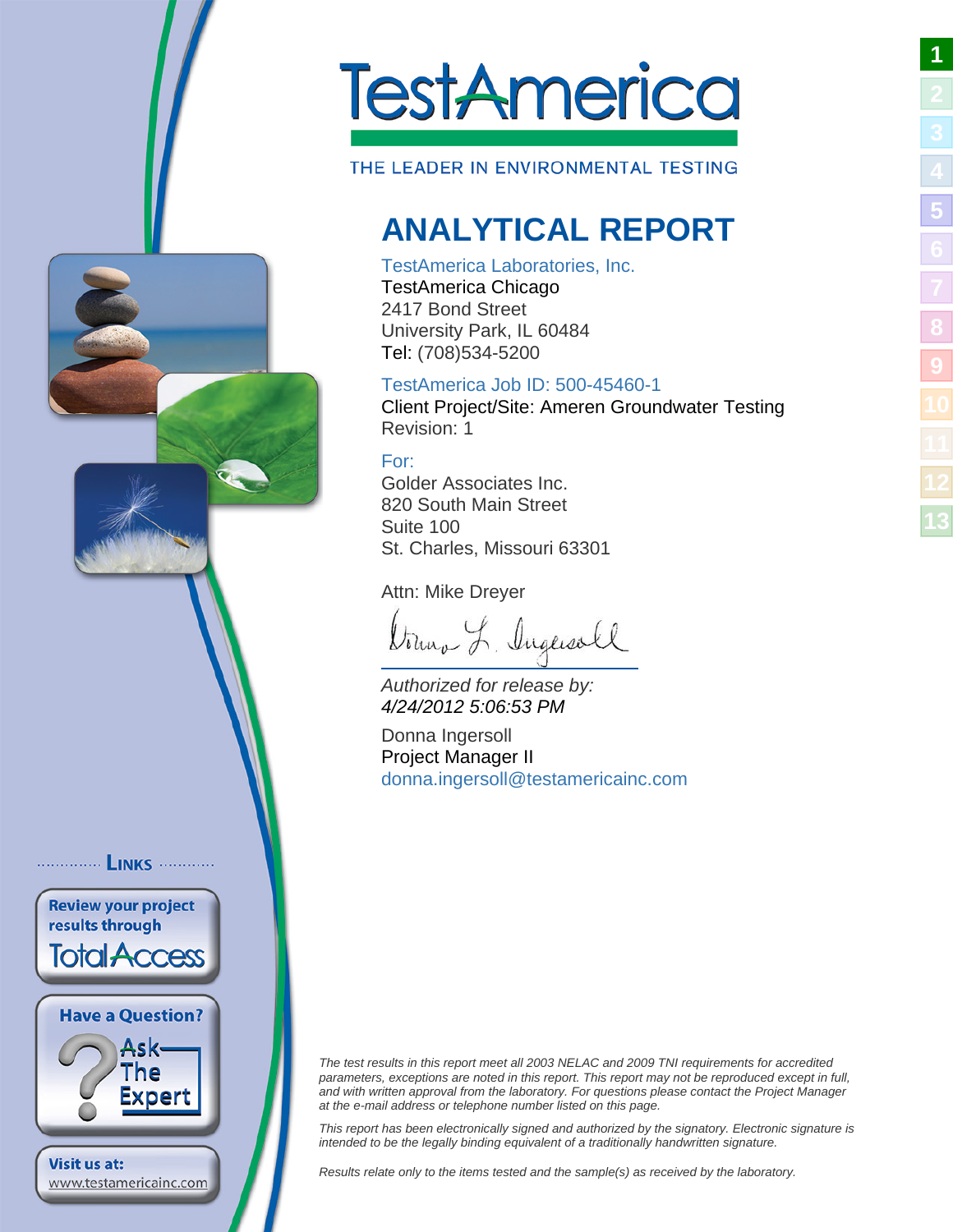<span id="page-3-1"></span>

THE LEADER IN ENVIRONMENTAL TESTING

### **ANALYTICAL REPORT**

#### TestAmerica Laboratories, Inc.

TestAmerica Chicago 2417 Bond Street University Park, IL 60484 Tel: (708)534-5200

#### TestAmerica Job ID: 500-45460-1

Client Project/Site: Ameren Groundwater Testing Revision: 1

#### For:

Golder Associates Inc. 820 South Main Street Suite 100 St. Charles, Missouri 63301

Attn: Mike Dreyer

Donna L. Ingeneall

Authorized for release by: 4/24/2012 5:06:53 PM

Donna Ingersoll Project Manager II [donna.ingersoll@testamericain](mailto:donna.ingersoll@testamericainc.com)c.com

The test results in this report meet all 2003 NELAC and 2009 TNI requirements for accredited parameters, exceptions are noted in this report. This report may not be reproduced except in full, and with written approval from the laboratory. For questions please contact the Project Manager at the e-mail address or telephone number listed on this page.

This report has been electronically signed and authorized by the signatory. Electronic signature is intended to be the legally binding equivalent of a traditionally handwritten signature.

Results relate only to the items tested and the sample(s) as received by the laboratory.

<span id="page-3-0"></span>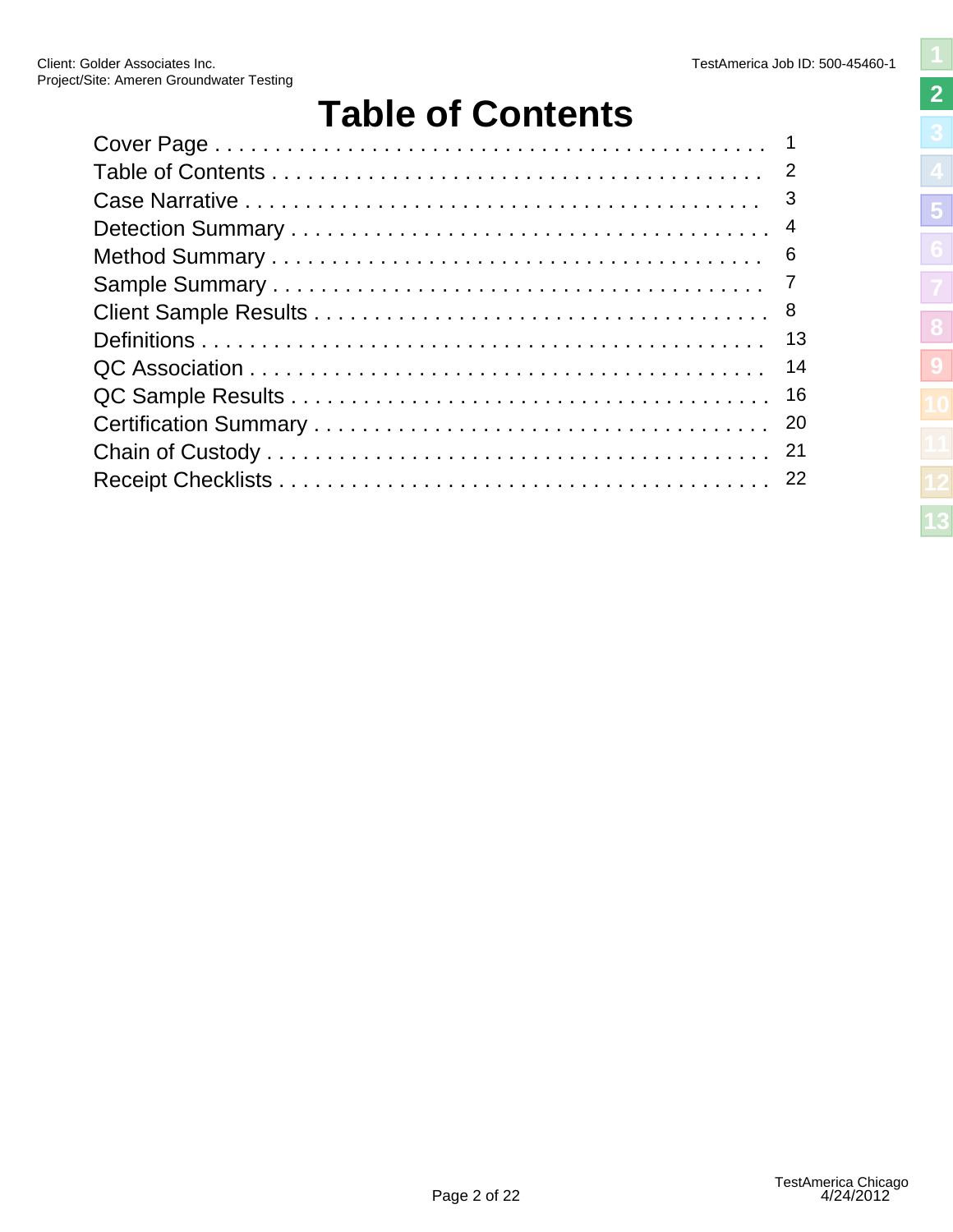### **Table of Contents**

<span id="page-4-1"></span><span id="page-4-0"></span>

| 13 |
|----|
| 14 |
|    |
|    |
|    |
|    |
|    |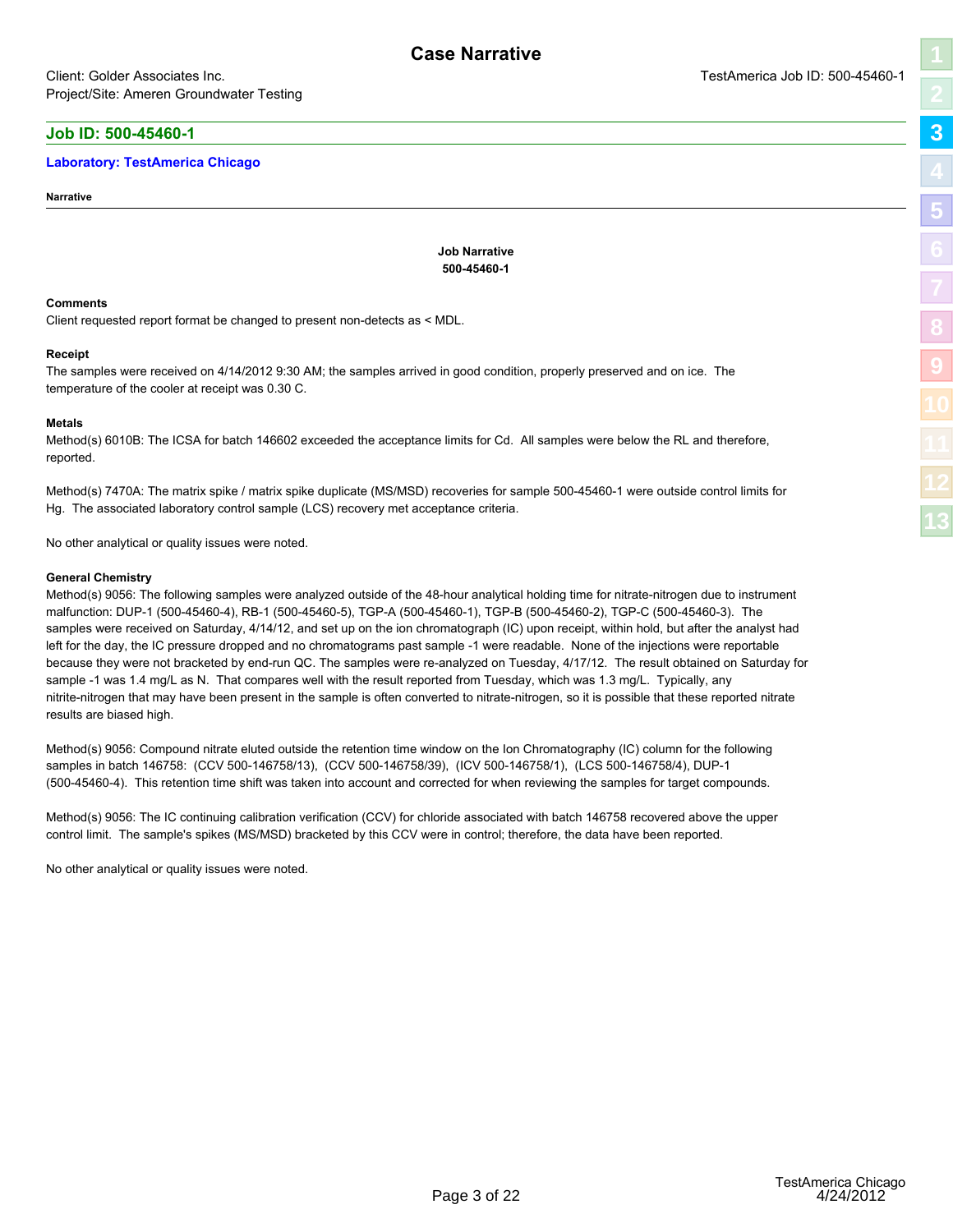#### <span id="page-5-1"></span><span id="page-5-0"></span>**Job ID: 500-45460-1**

#### **Laboratory: TestAmerica Chicago**

**Narrative**

**Job Narrative 500-45460-1**

#### **Comments**

Client requested report format be changed to present non-detects as < MDL.

#### **Receipt**

The samples were received on 4/14/2012 9:30 AM; the samples arrived in good condition, properly preserved and on ice. The temperature of the cooler at receipt was 0.30 C.

#### **Metals**

Method(s) 6010B: The ICSA for batch 146602 exceeded the acceptance limits for Cd. All samples were below the RL and therefore, reported.

Method(s) 7470A: The matrix spike / matrix spike duplicate (MS/MSD) recoveries for sample 500-45460-1 were outside control limits for Hg. The associated laboratory control sample (LCS) recovery met acceptance criteria.

No other analytical or quality issues were noted.

#### **General Chemistry**

Method(s) 9056: The following samples were analyzed outside of the 48-hour analytical holding time for nitrate-nitrogen due to instrument malfunction: DUP-1 (500-45460-4), RB-1 (500-45460-5), TGP-A (500-45460-1), TGP-B (500-45460-2), TGP-C (500-45460-3). The samples were received on Saturday, 4/14/12, and set up on the ion chromatograph (IC) upon receipt, within hold, but after the analyst had left for the day, the IC pressure dropped and no chromatograms past sample -1 were readable. None of the injections were reportable because they were not bracketed by end-run QC. The samples were re-analyzed on Tuesday, 4/17/12. The result obtained on Saturday for sample -1 was 1.4 mg/L as N. That compares well with the result reported from Tuesday, which was 1.3 mg/L. Typically, any nitrite-nitrogen that may have been present in the sample is often converted to nitrate-nitrogen, so it is possible that these reported nitrate results are biased high.

Method(s) 9056: Compound nitrate eluted outside the retention time window on the Ion Chromatography (IC) column for the following samples in batch 146758: (CCV 500-146758/13), (CCV 500-146758/39), (ICV 500-146758/1), (LCS 500-146758/4), DUP-1 (500-45460-4). This retention time shift was taken into account and corrected for when reviewing the samples for target compounds.

Method(s) 9056: The IC continuing calibration verification (CCV) for chloride associated with batch 146758 recovered above the upper control limit. The sample's spikes (MS/MSD) bracketed by this CCV were in control; therefore, the data have been reported.

No other analytical or quality issues were noted.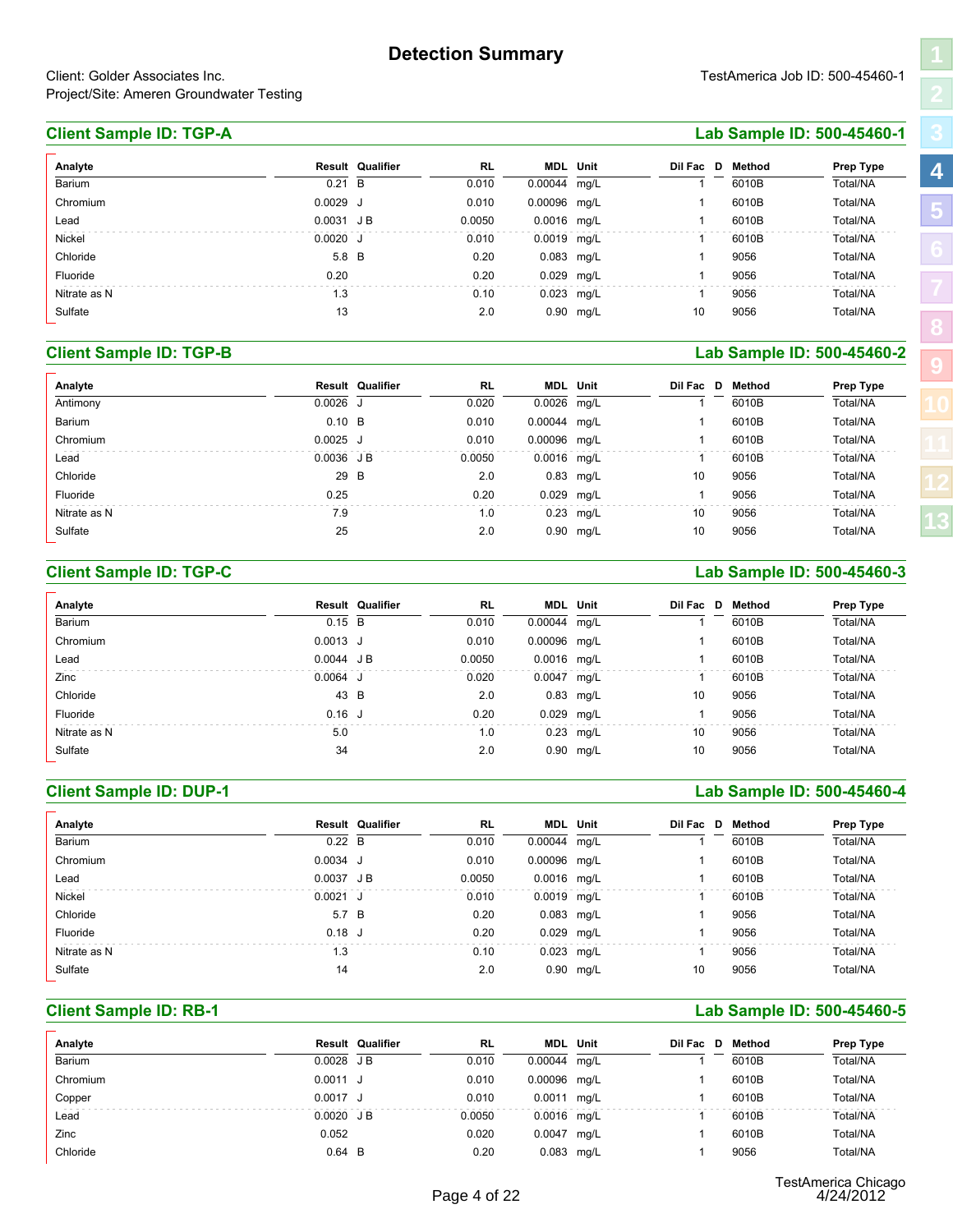**RL MDL**

0.010 mg/L 1 6010B 0.00044

#### <span id="page-6-1"></span><span id="page-6-0"></span>**Client Sample ID: TGP-A Lab Sample ID: 500-45460-1**

#### Fluoride 0.20 0.20 0.029 mg/L 1 9056 Total/NA Nitrate as N 1.3 0.10 0.023 mg/L 1 9056 Total/NA

Total/NA

#### **Client Sample ID: TGP-B Lab Sample ID: 500-45460-2**

| Lead                           | $0.0031 \text{ J B}$ |                         | 0.0050    | $0.0016$ mg/L |                 |                         | 6010B  | Total/NA                   |
|--------------------------------|----------------------|-------------------------|-----------|---------------|-----------------|-------------------------|--------|----------------------------|
| Nickel                         | $0.0020$ J           |                         | 0.010     | 0.0019 mg/L   |                 | -1                      | 6010B  | Total/NA                   |
| Chloride                       | 5.8 B                |                         | 0.20      | 0.083 mg/L    |                 | 1                       | 9056   | Total/NA                   |
| Fluoride                       | 0.20                 |                         | 0.20      | 0.029         | mg/L            | 1                       | 9056   | Total/NA                   |
| Nitrate as N                   | 1.3                  |                         | 0.10      |               | 0.023 mg/L      | $\mathbf{1}$            | 9056   | Total/NA                   |
| Sulfate                        | 13                   |                         | 2.0       |               | 0.90 mg/L       | 10                      | 9056   | Total/NA                   |
| <b>Client Sample ID: TGP-B</b> |                      |                         |           |               |                 |                         |        | Lab Sample ID: 500-45460-2 |
| Analyte                        |                      | <b>Result Qualifier</b> | <b>RL</b> | MDL           | Unit            | Dil Fac D               | Method | Prep Type                  |
| Antimony                       | $0.0026$ J           |                         | 0.020     | 0.0026        | mg/L            |                         | 6010B  | Total/NA                   |
| Barium                         | $0.10$ B             |                         | 0.010     | 0.00044       | mg/L            | 1                       | 6010B  | Total/NA                   |
| Chromium                       | $0.0025$ J           |                         | 0.010     | 0.00096       | mg/L            | 1                       | 6010B  | Total/NA                   |
| Lead                           | 0.0036 JB            |                         | 0.0050    | 0.0016 mg/L   |                 | $\mathbf 1$             | 6010B  | Total/NA                   |
| Chloride                       | 29                   | B                       | 2.0       | 0.83          | mg/L            | 10                      | 9056   | Total/NA                   |
| Fluoride                       | 0.25                 |                         | 0.20      | 0.029         | mg/L            | $\overline{\mathbf{1}}$ | 9056   | Total/NA                   |
| Nitrate as N                   | 7.9                  |                         | 1.0       |               | 0.23 mg/L       | 10                      | 9056   | Total/NA                   |
| Sulfate                        | 25                   |                         | 2.0       |               | 0.90 mg/L       | 10                      | 9056   | Total/NA                   |
| <b>Client Sample ID: TGP-C</b> |                      |                         |           |               |                 |                         |        | Lab Sample ID: 500-45460-3 |
| Analyte                        |                      | Result Qualifier        | <b>RL</b> |               | <b>MDL</b> Unit | Dil Fac D               | Method | Prep Type                  |
| Barium                         | $0.15$ B             |                         | 0.010     | 0.00044       | mg/L            |                         | 6010B  | Total/NA                   |
| Chromium                       | $0.0013$ J           |                         | 0.010     | 0.00096       | mg/L            |                         | 6010B  | Total/NA                   |
| Lead                           | 0.0044 JB            |                         | 0.0050    | 0.0016 mg/L   |                 |                         | 6010B  | Total/NA                   |
|                                |                      |                         |           |               |                 |                         |        |                            |

#### **Client Sample ID: TGP-C Lab Sample ID: 500-45460-3**

| Chloride                       | 29            | B                       | 2.0       |              | 0.83 mg/L       | 10                       | 9056   | Total/NA                   |
|--------------------------------|---------------|-------------------------|-----------|--------------|-----------------|--------------------------|--------|----------------------------|
| Fluoride                       | 0.25          |                         | 0.20      | 0.029 mg/L   |                 | $\mathbf 1$              | 9056   | Total/NA                   |
| Nitrate as N                   | 7.9           |                         | 1.0       | 0.23         | mg/L            | 10                       | 9056   | Total/NA                   |
| Sulfate                        | 25            |                         | 2.0       |              | 0.90 mg/L       | 10                       | 9056   | Total/NA                   |
| <b>Client Sample ID: TGP-C</b> |               |                         |           |              |                 |                          |        | Lab Sample ID: 500-45460-3 |
| Analyte                        |               | <b>Result Qualifier</b> | <b>RL</b> |              | <b>MDL</b> Unit | Dil Fac D                | Method | Prep Type                  |
| Barium                         | $0.15$ B      |                         | 0.010     | 0.00044      | mg/L            |                          | 6010B  | Total/NA                   |
| Chromium                       | $0.0013$ J    |                         | 0.010     | 0.00096 mg/L |                 | 1                        | 6010B  | Total/NA                   |
| Lead                           | 0.0044 JB     |                         | 0.0050    | 0.0016 mg/L  |                 |                          | 6010B  | Total/NA                   |
| Zinc                           | $0.0064$ J    |                         | 0.020     | 0.0047 mg/L  |                 | -1                       | 6010B  | Total/NA                   |
| Chloride                       | 43 B          |                         | 2.0       |              | 0.83 mg/L       | 10                       | 9056   | Total/NA                   |
| Fluoride                       | $0.16$ J      |                         | 0.20      | 0.029 mg/L   |                 | $\overline{\phantom{a}}$ | 9056   | Total/NA                   |
| Nitrate as N                   | 5.0           |                         | 1.0       |              | 0.23 mg/L       | 10                       | 9056   | Total/NA                   |
| Sulfate                        | 34            |                         | 2.0       |              | 0.90 mg/L       | 10                       | 9056   | Total/NA                   |
| <b>Client Sample ID: DUP-1</b> |               |                         |           |              |                 |                          |        | Lab Sample ID: 500-45460-4 |
| Analyte                        |               | Result Qualifier        | <b>RL</b> |              | <b>MDL</b> Unit | Dil Fac D                | Method | Prep Type                  |
| Barium                         | $0.22\quad B$ |                         | 0.010     | 0.00044      | mg/L            |                          | 6010B  | Total/NA                   |
| Chromium                       | $0.0034$ J    |                         | 0.010     | 0.00096 mg/L |                 |                          | 6010B  | Total/NA                   |
| Lead                           | 0.0037 JB     |                         | 0.0050    | 0.0016 mg/L  |                 |                          | 6010B  | Total/NA                   |
|                                |               |                         |           |              |                 |                          |        |                            |

#### **Client Sample ID: DUP-1 Lab Sample ID: 500-45460-4**

| Chloride                       | 43            | B                       | 2.0       |             | 0.83 mg/L       | 10                      | 9056          | Total/NA                   |
|--------------------------------|---------------|-------------------------|-----------|-------------|-----------------|-------------------------|---------------|----------------------------|
| Fluoride                       | $0.16$ J      |                         | 0.20      | 0.029       | mg/L            | $\overline{\mathbf{1}}$ | 9056          | Total/NA                   |
| Nitrate as N                   | 5.0           |                         | 1.0       | 0.23        | mg/L            | 10                      | 9056          | Total/NA                   |
| Sulfate                        | 34            |                         | 2.0       |             | 0.90 mg/L       | 10                      | 9056          | Total/NA                   |
| <b>Client Sample ID: DUP-1</b> |               |                         |           |             |                 |                         |               | Lab Sample ID: 500-45460-4 |
| Analyte                        |               | <b>Result Qualifier</b> | <b>RL</b> |             | <b>MDL</b> Unit | Dil Fac D               | <b>Method</b> | Prep Type                  |
| Barium                         | $0.22\quad B$ |                         | 0.010     | 0.00044     | mg/L            |                         | 6010B         | Total/NA                   |
| Chromium                       | $0.0034$ J    |                         | 0.010     | 0.00096     | mg/L            |                         | 6010B         | Total/NA                   |
| Lead                           | 0.0037 JB     |                         | 0.0050    | 0.0016 mg/L |                 | 1                       | 6010B         | Total/NA                   |
| Nickel                         | $0.0021$ J    |                         | 0.010     | 0.0019      | mg/L            |                         | 6010B         | Total/NA                   |
| Chloride                       | 5.7 B         |                         | 0.20      | 0.083 mg/L  |                 |                         | 9056          | Total/NA                   |
| Fluoride                       | $0.18$ J      |                         | 0.20      | 0.029       | mg/L            | 1                       | 9056          | Total/NA                   |
| Nitrate as N                   | 1.3           |                         | 0.10      | 0.023 mg/L  |                 | -1                      | 9056          | Total/NA                   |
| Sulfate                        | 14            |                         | 2.0       | 0.90        | mg/L            | 10                      | 9056          | Total/NA                   |
| <b>Client Sample ID: RB-1</b>  |               |                         |           |             |                 |                         |               | Lab Sample ID: 500-45460-5 |
| Analyte                        |               | <b>Result Qualifier</b> | <b>RL</b> | MDL         | Unit            | Dil Fac D               | Method        | Prep Type                  |
| Barium                         | $0.0028$ JB   |                         | 0.010     | 0.00044     | mg/L            |                         | 6010B         | Total/NA                   |
| Chromium                       | 0.0011 J      |                         | 0.010     | 0.00096     | mg/L            |                         | 6010B         | Total/NA                   |
| Copper                         | 0.0017 J      |                         | 0.010     | 0.0011 mg/L |                 |                         | 6010B         | Total/NA                   |
|                                |               |                         |           |             |                 |                         |               |                            |

#### **Client Sample ID: RB-1 Lab Sample ID: 500-45460-5**

| Chloride                      | 5.7 B       |                         | 0.20   |              | 0.083 mg/L   |           | 9056   | Total/NA                   |
|-------------------------------|-------------|-------------------------|--------|--------------|--------------|-----------|--------|----------------------------|
| Fluoride                      | 0.18 J      |                         | 0.20   |              | 0.029 mg/L   |           | 9056   | Total/NA                   |
| Nitrate as N                  | 1.3         |                         | 0.10   |              | $0.023$ mg/L |           | 9056   | Total/NA                   |
| Sulfate                       | 14          |                         | 2.0    |              | $0.90$ mg/L  | 10        | 9056   | Total/NA                   |
| <b>Client Sample ID: RB-1</b> |             |                         |        |              |              |           |        | Lab Sample ID: 500-45460-5 |
| Analyte                       |             | <b>Result Qualifier</b> | RL     | MDL          | Unit         | Dil Fac D | Method | Prep Type                  |
| Barium                        | 0.0028 JB   |                         | 0.010  | 0.00044 mg/L |              |           | 6010B  | Total/NA                   |
| Chromium                      | $0.0011$ J  |                         | 0.010  | 0.00096 mg/L |              |           | 6010B  | Total/NA                   |
| Copper                        | $0.0017$ J  |                         | 0.010  | 0.0011 mg/L  |              |           | 6010B  | Total/NA                   |
|                               |             |                         |        |              |              |           |        |                            |
| Lead                          | $0.0020$ JB |                         | 0.0050 | 0.0016 mg/L  |              |           | 6010B  | Total/NA                   |
| Zinc                          | 0.052       |                         | 0.020  | 0.0047 mg/L  |              |           | 6010B  | Total/NA                   |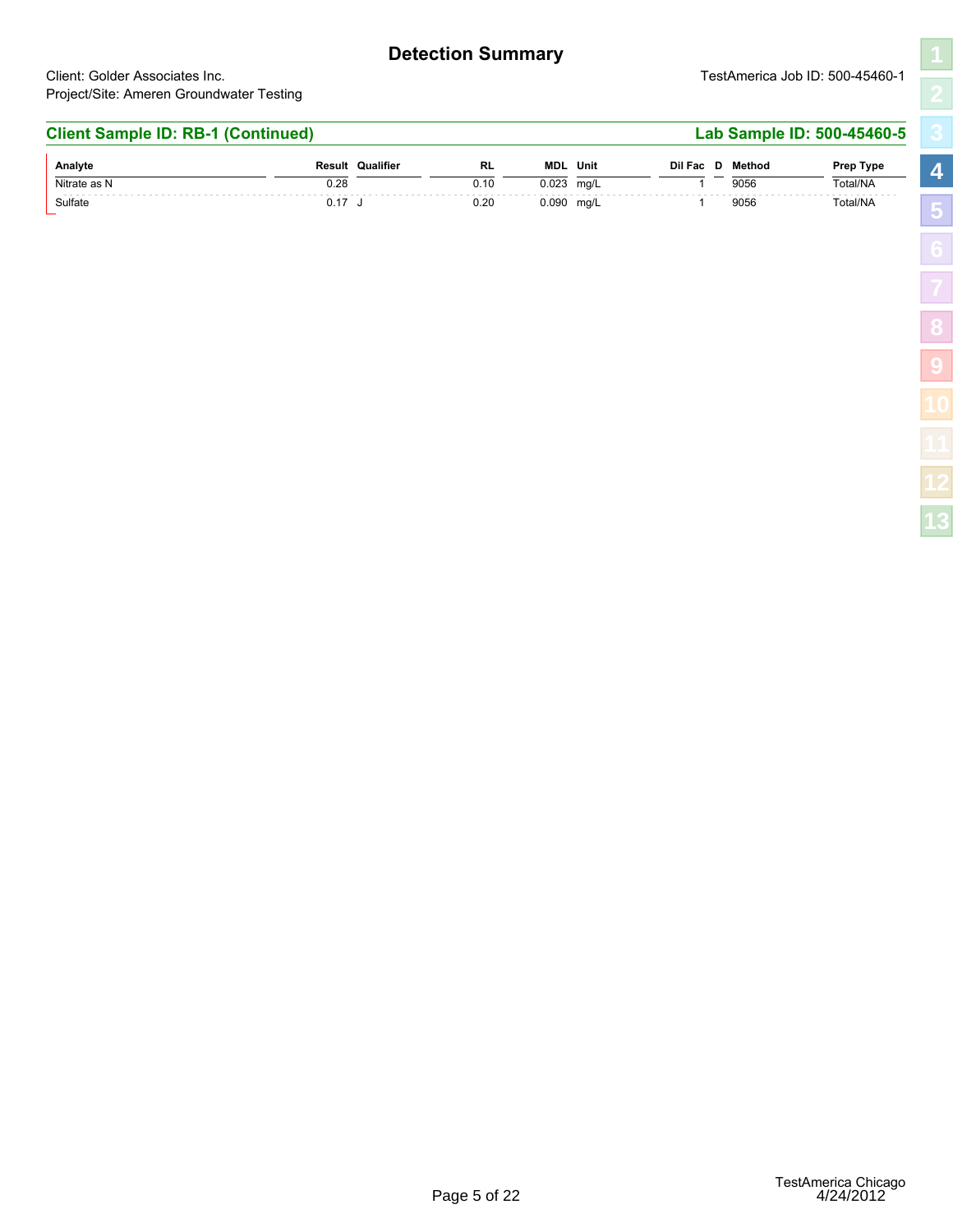#### **Detection Summary**

Client: Golder Associates Inc. TestAmerica Job ID: 500-45460-1 Project/Site: Ameren Groundwater Testing

#### **Client Sample ID: RB-1 (Continued) Lab Sample ID: 500-45460-5**  $N$ itrate as N 0.28 **RL MDL** 0.10 0.023 mg/L 1 9056 Total/NA **Analyte**<br>
Suite: America Job ID: 500-45460-1<br> **Analyte**<br> **Analyte**<br> **Analyte**<br> **Analyte**<br> **Analyte**<br> **Analyte**<br> **Analyte**<br> **Analyte**<br> **Analyte**<br> **Analyte**<br> **Analyte**<br> **Analyte**<br> **Analyte**<br> **Analyte**<br> **Analyte**<br> **Analyte**<br> Total/NA Elient: Golder Associates Inc.<br>
Surfate Continued District Continued District Continued District Continued District Continued District Continued District Continued District Continued District Continued District Continued D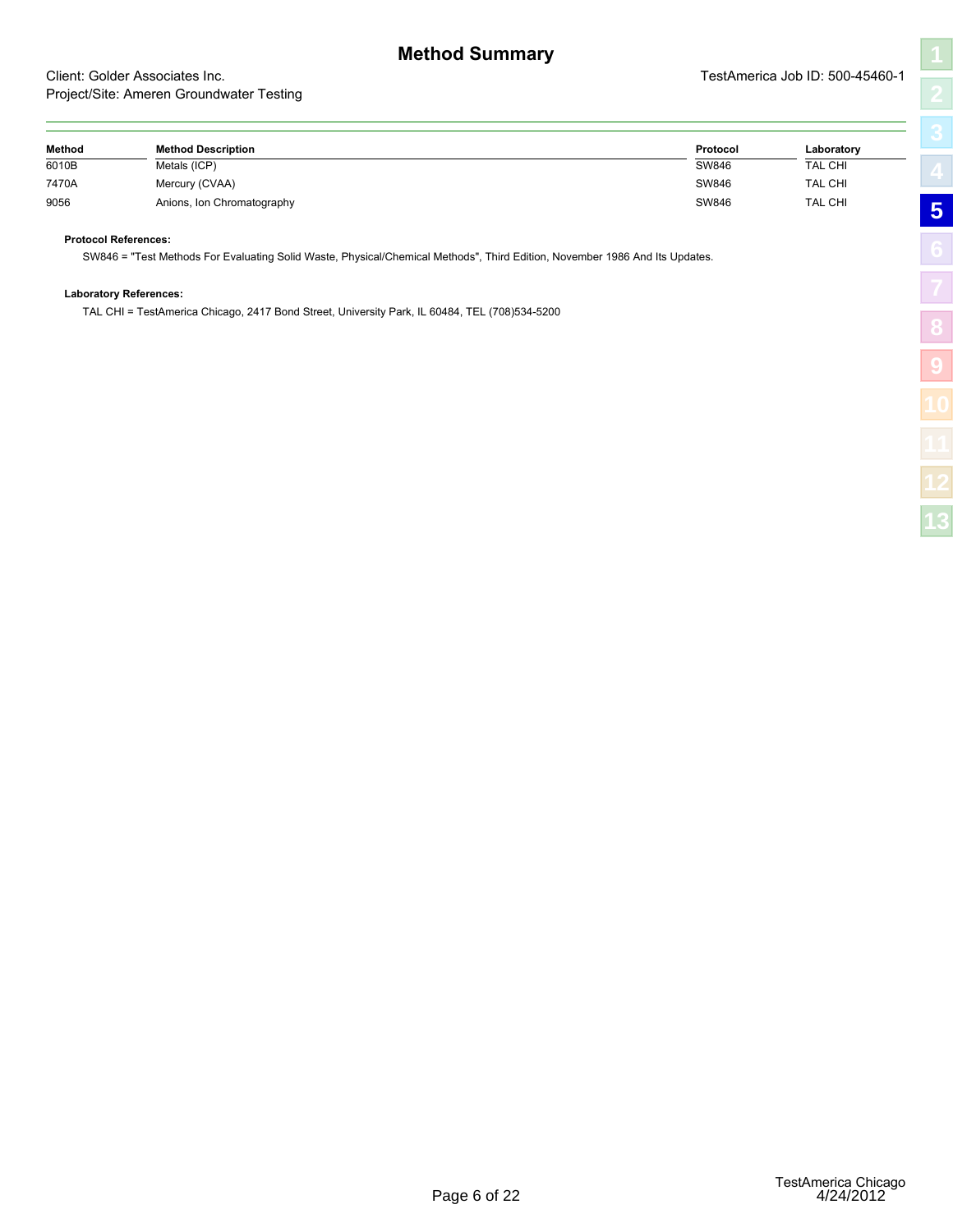7470A Mercury (CVAA) SW846 TAL CHI

9056 Anions, Ion Chromatography SW846 TAL CHI

SW846 = "Test Methods For Evaluating Solid Waste, Physical/Chemical Methods", Third Edition, November 1986 And Its Updates.

TAL CHI = TestAmerica Chicago, 2417 Bond Street, University Park, IL 60484, TEL (708)534-5200

**Protocol References:**

**Laboratory References:**

| ٦           |
|-------------|
| Z           |
| Г<br>.<br>כ |
|             |
| í           |
|             |
| Ś           |
| I           |
|             |

<span id="page-8-1"></span><span id="page-8-0"></span>

|        | Project/Site. Ameren Groundwater Testing |          |                |
|--------|------------------------------------------|----------|----------------|
| Method | <b>Method Description</b>                | Protocol | Laboratory     |
| 6010B  | Metals (ICP)                             | SW846    | <b>TAL CHI</b> |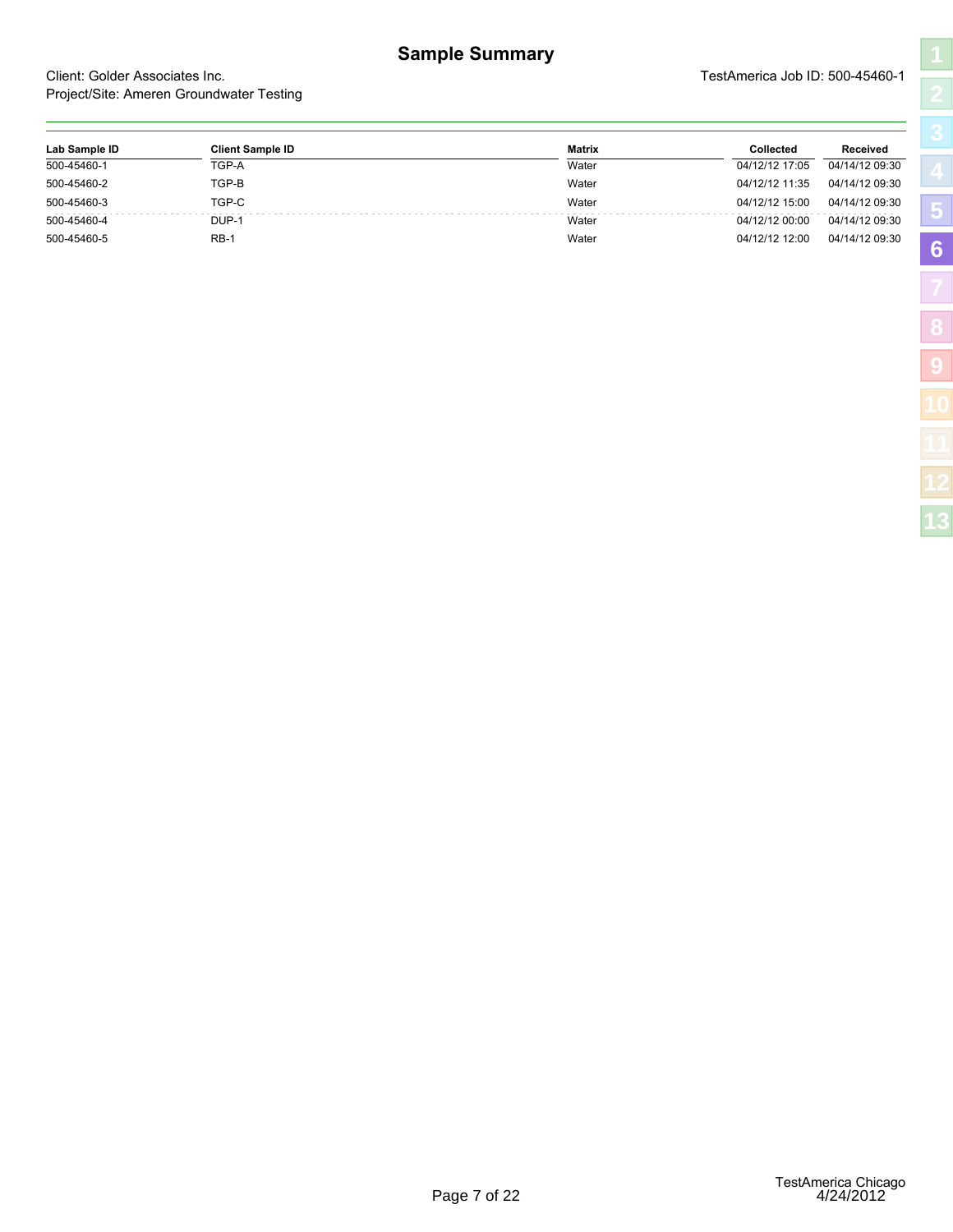<span id="page-9-1"></span><span id="page-9-0"></span>

|                                |                                          | <b>Sample Summary</b> |                                 |                |
|--------------------------------|------------------------------------------|-----------------------|---------------------------------|----------------|
| Client: Golder Associates Inc. | Project/Site: Ameren Groundwater Testing |                       | TestAmerica Job ID: 500-45460-1 |                |
|                                |                                          |                       | Collected                       | Received       |
| Lab Sample ID                  | <b>Client Sample ID</b>                  | <b>Matrix</b>         |                                 |                |
| 500-45460-1                    | TGP-A                                    | Water                 | 04/12/12 17:05                  | 04/14/12 09:30 |
| 500-45460-2                    | TGP-B                                    | Water                 | 04/12/12 11:35                  | 04/14/12 09:30 |
| 500-45460-3                    | TGP-C                                    | Water                 | 04/12/12 15:00                  | 04/14/12 09:30 |
| 500-45460-4                    | DUP-1                                    | Water                 | 04/12/12 00:00                  | 04/14/12 09:30 |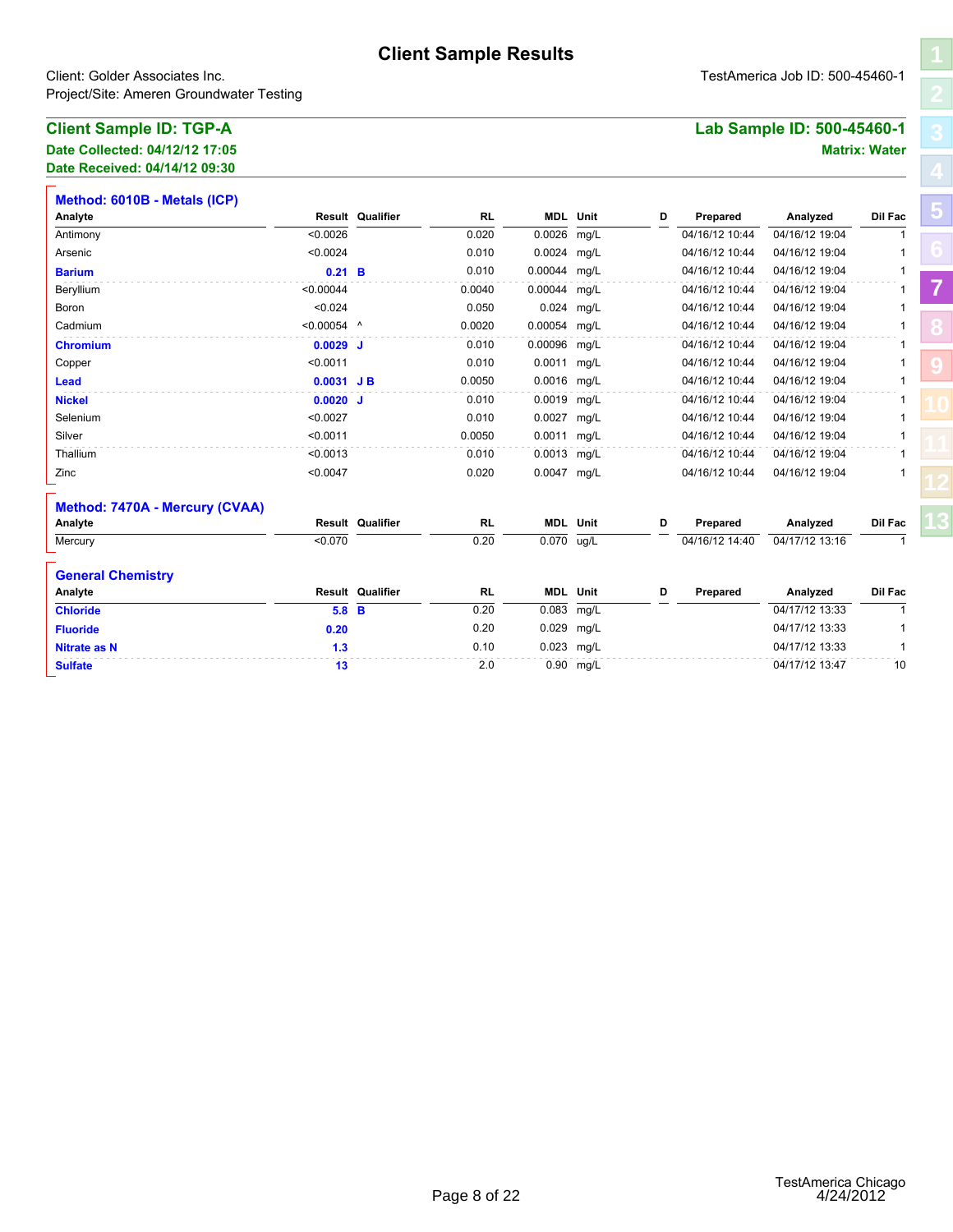| <b>Client Sample ID: TGP-A</b> | Lab Sample ID: 500-45460-1 |
|--------------------------------|----------------------------|
| Date Collected: 04/12/12 17:05 | <b>Matrix: Water</b>       |

<span id="page-10-1"></span><span id="page-10-0"></span>

|                                                                            |               |                         | <b>Client Sample Results</b> |              |                 |   |                |                                 |                      |
|----------------------------------------------------------------------------|---------------|-------------------------|------------------------------|--------------|-----------------|---|----------------|---------------------------------|----------------------|
| Client: Golder Associates Inc.<br>Project/Site: Ameren Groundwater Testing |               |                         |                              |              |                 |   |                | TestAmerica Job ID: 500-45460-1 |                      |
| <b>Client Sample ID: TGP-A</b>                                             |               |                         |                              |              |                 |   |                | Lab Sample ID: 500-45460-1      |                      |
| Date Collected: 04/12/12 17:05                                             |               |                         |                              |              |                 |   |                |                                 | <b>Matrix: Water</b> |
| Date Received: 04/14/12 09:30                                              |               |                         |                              |              |                 |   |                |                                 |                      |
| Method: 6010B - Metals (ICP)                                               |               |                         |                              |              |                 |   |                |                                 |                      |
| Analyte                                                                    |               | <b>Result Qualifier</b> | <b>RL</b>                    |              | <b>MDL</b> Unit | D | Prepared       | Analyzed                        | Dil Fac              |
| Antimony                                                                   | < 0.0026      |                         | 0.020                        | 0.0026       | mg/L            |   | 04/16/12 10:44 | 04/16/12 19:04                  | $\mathbf{1}$         |
| Arsenic                                                                    | < 0.0024      |                         | 0.010                        | 0.0024 mg/L  |                 |   | 04/16/12 10:44 | 04/16/12 19:04                  | 1                    |
| <b>Barium</b>                                                              | $0.21$ B      |                         | 0.010                        | 0.00044 mg/L |                 |   | 04/16/12 10:44 | 04/16/12 19:04                  | 1                    |
| Beryllium                                                                  | < 0.00044     |                         | 0.0040                       | 0.00044      | mg/L            |   | 04/16/12 10:44 | 04/16/12 19:04                  | 1                    |
| Boron                                                                      | < 0.024       |                         | 0.050                        | 0.024        | mg/L            |   | 04/16/12 10:44 | 04/16/12 19:04                  | 1                    |
| Cadmium                                                                    | $< 0.00054$ ^ |                         | 0.0020                       | 0.00054 mg/L |                 |   | 04/16/12 10:44 | 04/16/12 19:04                  | 1                    |
| <b>Chromium</b>                                                            | $0.0029$ J    |                         | 0.010                        | 0.00096 mg/L |                 |   | 04/16/12 10:44 | 04/16/12 19:04                  | 1                    |
| Copper                                                                     | < 0.0011      |                         | 0.010                        | 0.0011       | mg/L            |   | 04/16/12 10:44 | 04/16/12 19:04                  | 1                    |
| <b>Lead</b>                                                                | $0.0031$ JB   |                         | 0.0050                       | 0.0016 mg/L  |                 |   | 04/16/12 10:44 | 04/16/12 19:04                  | 1                    |
| <b>Nickel</b>                                                              | $0.0020$ J    |                         | 0.010                        | 0.0019 mg/L  |                 |   | 04/16/12 10:44 | 04/16/12 19:04                  | 1                    |
| Selenium                                                                   | < 0.0027      |                         | 0.010                        | 0.0027 mg/L  |                 |   | 04/16/12 10:44 | 04/16/12 19:04                  |                      |
| Silver                                                                     | < 0.0011      |                         | 0.0050                       | 0.0011 mg/L  |                 |   | 04/16/12 10:44 | 04/16/12 19:04                  | 1                    |
| Thallium                                                                   | < 0.0013      |                         | 0.010                        | 0.0013 mg/L  |                 |   | 04/16/12 10:44 | 04/16/12 19:04                  | 1                    |
| Zinc                                                                       | < 0.0047      |                         | 0.020                        | 0.0047 mg/L  |                 |   | 04/16/12 10:44 | 04/16/12 19:04                  |                      |
| Method: 7470A - Mercury (CVAA)                                             |               |                         |                              |              |                 |   |                |                                 |                      |
| Analyte                                                                    |               | Result Qualifier        | RL                           |              | <b>MDL</b> Unit | D | Prepared       | Analyzed                        | Dil Fac              |
| Mercury                                                                    | < 0.070       |                         | 0.20                         | 0.070        | ug/L            |   | 04/16/12 14:40 | 04/17/12 13:16                  | $\mathbf{1}$         |
| <b>General Chemistry</b>                                                   |               |                         |                              |              |                 |   |                |                                 |                      |
| Analyte                                                                    |               | Result Qualifier        | RL                           |              | <b>MDL</b> Unit | D | Prepared       | Analyzed                        | Dil Fac              |
| <b>Chloride</b>                                                            | 5.8 B         |                         | 0.20                         | 0.083        | mg/L            |   |                | 04/17/12 13:33                  | 1                    |
| <b>Fluoride</b>                                                            | 0.20          |                         | 0.20                         | 0.029 mg/L   |                 |   |                | 04/17/12 13:33                  | 1                    |
| <b>Nitrate as N</b>                                                        | 1.3           |                         | 0.10                         | 0.023 mg/L   |                 |   |                | 04/17/12 13:33                  | $\mathbf{1}$         |
| <b>Sulfate</b>                                                             | 13            |                         | 2.0                          |              | 0.90 mg/L       |   |                | 04/17/12 13:47                  | 10                   |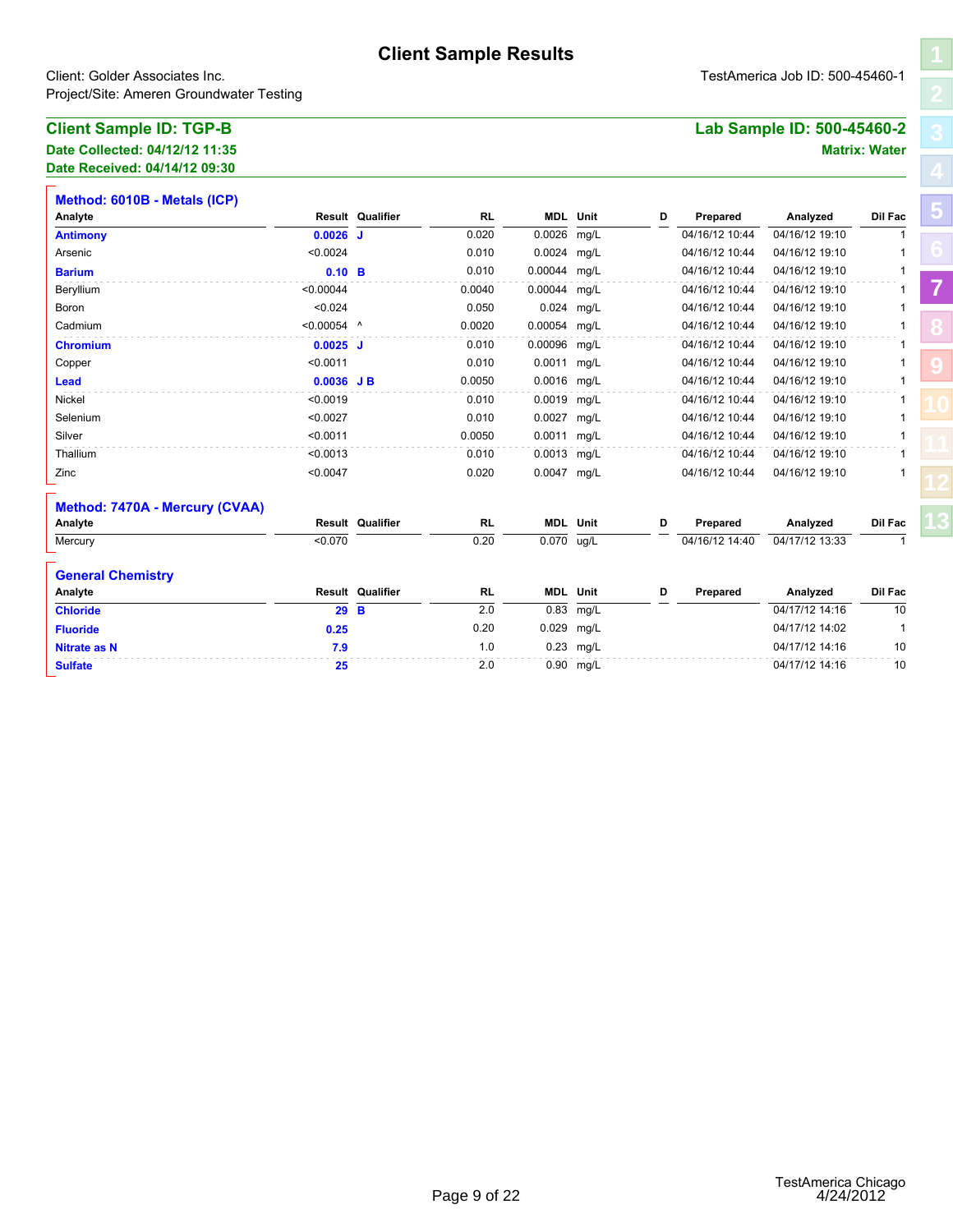| <b>Client Sample ID: TGP-B</b> | Lab Sample ID: 500-45460-2 |  |
|--------------------------------|----------------------------|--|
| Date Collected: 04/12/12 11:35 | <b>Matrix: Water</b>       |  |

| Date Received: 04/14/12 09:30 |
|-------------------------------|
|-------------------------------|

| Client: Golder Associates Inc.<br>Project/Site: Ameren Groundwater Testing | TestAmerica Job ID: 500-45460-1 |                  |           |                 |             |   |                |                            |                      |
|----------------------------------------------------------------------------|---------------------------------|------------------|-----------|-----------------|-------------|---|----------------|----------------------------|----------------------|
| <b>Client Sample ID: TGP-B</b>                                             |                                 |                  |           |                 |             |   |                | Lab Sample ID: 500-45460-2 |                      |
| Date Collected: 04/12/12 11:35                                             |                                 |                  |           |                 |             |   |                |                            | <b>Matrix: Water</b> |
| Date Received: 04/14/12 09:30                                              |                                 |                  |           |                 |             |   |                |                            |                      |
| Method: 6010B - Metals (ICP)                                               |                                 |                  |           |                 |             |   |                |                            |                      |
| Analyte                                                                    |                                 | Result Qualifier | <b>RL</b> | <b>MDL</b> Unit |             | D | Prepared       | Analyzed                   | Dil Fac              |
| <b>Antimony</b>                                                            | $0.0026$ J                      |                  | 0.020     | 0.0026          | mg/L        |   | 04/16/12 10:44 | 04/16/12 19:10             | $\mathbf{1}$         |
| Arsenic                                                                    | < 0.0024                        |                  | 0.010     | 0.0024 mg/L     |             |   | 04/16/12 10:44 | 04/16/12 19:10             | 1                    |
| <b>Barium</b>                                                              | $0.10$ B                        |                  | 0.010     | 0.00044 mg/L    |             |   | 04/16/12 10:44 | 04/16/12 19:10             | 1                    |
| Beryllium                                                                  | < 0.00044                       |                  | 0.0040    | 0.00044 mg/L    |             |   | 04/16/12 10:44 | 04/16/12 19:10             | 1                    |
| Boron                                                                      | < 0.024                         |                  | 0.050     | 0.024           | mg/L        |   | 04/16/12 10:44 | 04/16/12 19:10             | $\mathbf{1}$         |
| Cadmium                                                                    | $< 0.00054$ ^                   |                  | 0.0020    | 0.00054 mg/L    |             |   | 04/16/12 10:44 | 04/16/12 19:10             | 1                    |
| <b>Chromium</b>                                                            | $0.0025$ J                      |                  | 0.010     | 0.00096         | mg/L        |   | 04/16/12 10:44 | 04/16/12 19:10             | 1                    |
| Copper                                                                     | < 0.0011                        |                  | 0.010     | 0.0011 mg/L     |             |   | 04/16/12 10:44 | 04/16/12 19:10             |                      |
| Lead                                                                       | $0.0036$ JB                     |                  | 0.0050    | 0.0016 mg/L     |             |   | 04/16/12 10:44 | 04/16/12 19:10             | $\overline{1}$       |
| Nickel                                                                     | < 0.0019                        |                  | 0.010     | 0.0019 mg/L     |             |   | 04/16/12 10:44 | 04/16/12 19:10             | 1                    |
| Selenium                                                                   | < 0.0027                        |                  | 0.010     | 0.0027 mg/L     |             |   | 04/16/12 10:44 | 04/16/12 19:10             |                      |
| Silver                                                                     | < 0.0011                        |                  | 0.0050    | 0.0011 mg/L     |             |   | 04/16/12 10:44 | 04/16/12 19:10             | 1                    |
| Thallium                                                                   | < 0.0013                        |                  | 0.010     | 0.0013 mg/L     |             |   | 04/16/12 10:44 | 04/16/12 19:10             |                      |
| Zinc                                                                       | < 0.0047                        |                  | 0.020     | 0.0047 mg/L     |             |   | 04/16/12 10:44 | 04/16/12 19:10             |                      |
| Method: 7470A - Mercury (CVAA)                                             |                                 |                  |           |                 |             |   |                |                            |                      |
| Analyte                                                                    |                                 | Result Qualifier | RL        | <b>MDL</b> Unit |             | D | Prepared       | Analyzed                   | Dil Fac              |
| Mercury                                                                    | < 0.070                         |                  | 0.20      | 0.070           | ug/L        |   | 04/16/12 14:40 | 04/17/12 13:33             | $\mathbf 1$          |
| <b>General Chemistry</b>                                                   |                                 |                  |           |                 |             |   |                |                            |                      |
| Analyte                                                                    |                                 | Result Qualifier | RL        | <b>MDL</b> Unit |             | D | Prepared       | Analyzed                   | Dil Fac              |
| <b>Chloride</b>                                                            | 29 B                            |                  | 2.0       | 0.83            | mg/L        |   |                | 04/17/12 14:16             | 10                   |
| <b>Fluoride</b>                                                            | 0.25                            |                  | 0.20      | 0.029 mg/L      |             |   |                | 04/17/12 14:02             | $\overline{1}$       |
| <b>Nitrate as N</b>                                                        | 7.9                             |                  | 1.0       |                 | $0.23$ mg/L |   |                | 04/17/12 14:16             | 10                   |
| <b>Sulfate</b>                                                             | 25                              |                  | 2.0       |                 | 0.90 mg/L   |   |                | 04/17/12 14:16             | 10                   |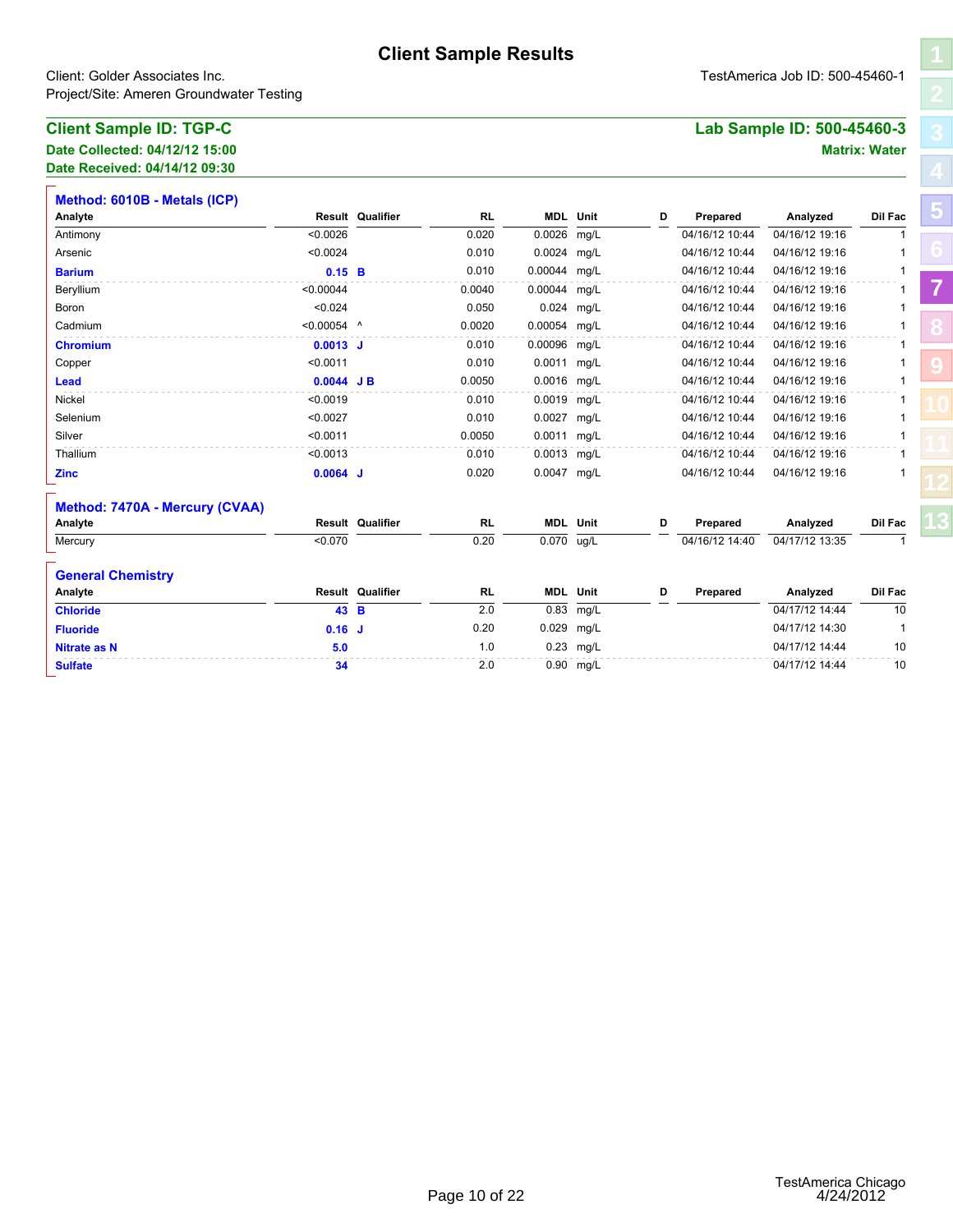| <b>Client Sample ID: TGP-C</b><br>Lab Sample ID: 500-45460-3 |  |
|--------------------------------------------------------------|--|
| Date Collected: 04/12/12 15:00<br><b>Matrix: Water</b>       |  |

| Date Received: 04/14/12 09:30 |  |
|-------------------------------|--|

| Client: Golder Associates Inc.<br>Project/Site: Ameren Groundwater Testing | TestAmerica Job ID: 500-45460-1 |                         |           |              |                 |   |                |                            |                      |
|----------------------------------------------------------------------------|---------------------------------|-------------------------|-----------|--------------|-----------------|---|----------------|----------------------------|----------------------|
| <b>Client Sample ID: TGP-C</b>                                             |                                 |                         |           |              |                 |   |                | Lab Sample ID: 500-45460-3 |                      |
| Date Collected: 04/12/12 15:00                                             |                                 |                         |           |              |                 |   |                |                            | <b>Matrix: Water</b> |
| Date Received: 04/14/12 09:30                                              |                                 |                         |           |              |                 |   |                |                            |                      |
| Method: 6010B - Metals (ICP)                                               |                                 |                         |           |              |                 |   |                |                            |                      |
| Analyte                                                                    |                                 | <b>Result Qualifier</b> | <b>RL</b> |              | <b>MDL</b> Unit | D | Prepared       | Analyzed                   | Dil Fac              |
| Antimony                                                                   | < 0.0026                        |                         | 0.020     | 0.0026       | mg/L            |   | 04/16/12 10:44 | 04/16/12 19:16             | $\mathbf{1}$         |
| Arsenic                                                                    | < 0.0024                        |                         | 0.010     | 0.0024 mg/L  |                 |   | 04/16/12 10:44 | 04/16/12 19:16             | 1                    |
| <b>Barium</b>                                                              | $0.15$ B                        |                         | 0.010     | 0.00044 mg/L |                 |   | 04/16/12 10:44 | 04/16/12 19:16             | $\mathbf{1}$         |
| Beryllium                                                                  | < 0.00044                       |                         | 0.0040    | 0.00044      | mg/L            |   | 04/16/12 10:44 | 04/16/12 19:16             | 1                    |
| Boron                                                                      | < 0.024                         |                         | 0.050     | 0.024        | mg/L            |   | 04/16/12 10:44 | 04/16/12 19:16             | $\mathbf{1}$         |
| Cadmium                                                                    | $< 0.00054$ ^                   |                         | 0.0020    | 0.00054      | mg/L            |   | 04/16/12 10:44 | 04/16/12 19:16             | 1                    |
| <b>Chromium</b>                                                            | $0.0013$ J                      |                         | 0.010     | 0.00096      | mg/L            |   | 04/16/12 10:44 | 04/16/12 19:16             | 1                    |
| Copper                                                                     | < 0.0011                        |                         | 0.010     | 0.0011 mg/L  |                 |   | 04/16/12 10:44 | 04/16/12 19:16             | 1                    |
| <b>Lead</b>                                                                | $0.0044$ JB                     |                         | 0.0050    | 0.0016 mg/L  |                 |   | 04/16/12 10:44 | 04/16/12 19:16             | 1                    |
| <b>Nickel</b>                                                              | < 0.0019                        |                         | 0.010     | 0.0019 mg/L  |                 |   | 04/16/12 10:44 | 04/16/12 19:16             | 1                    |
| Selenium                                                                   | < 0.0027                        |                         | 0.010     | 0.0027 mg/L  |                 |   | 04/16/12 10:44 | 04/16/12 19:16             |                      |
| Silver                                                                     | < 0.0011                        |                         | 0.0050    | 0.0011 mg/L  |                 |   | 04/16/12 10:44 | 04/16/12 19:16             | 1                    |
| Thallium                                                                   | < 0.0013                        |                         | 0.010     | 0.0013 mg/L  |                 |   | 04/16/12 10:44 | 04/16/12 19:16             | 1                    |
| <b>Zinc</b>                                                                | $0.0064$ J                      |                         | 0.020     | 0.0047 mg/L  |                 |   | 04/16/12 10:44 | 04/16/12 19:16             |                      |
| Method: 7470A - Mercury (CVAA)                                             |                                 |                         |           |              |                 |   |                |                            |                      |
| Analyte                                                                    |                                 | <b>Result Qualifier</b> | RL        |              | <b>MDL</b> Unit | D | Prepared       | Analyzed                   | Dil Fac              |
| Mercury                                                                    | < 0.070                         |                         | 0.20      | 0.070        | ug/L            |   | 04/16/12 14:40 | 04/17/12 13:35             | $\mathbf{1}$         |
| <b>General Chemistry</b>                                                   |                                 |                         |           |              |                 |   |                |                            |                      |
| Analyte                                                                    |                                 | Result Qualifier        | RL        |              | <b>MDL</b> Unit | D | Prepared       | Analyzed                   | Dil Fac              |
| <b>Chloride</b>                                                            | 43 B                            |                         | 2.0       | 0.83         | mg/L            |   |                | 04/17/12 14:44             | 10                   |
| <b>Fluoride</b>                                                            | $0.16$ J                        |                         | 0.20      | 0.029 mg/L   |                 |   |                | 04/17/12 14:30             | $\mathbf{1}$         |
| <b>Nitrate as N</b>                                                        | 5.0                             |                         | 1.0       |              | $0.23$ mg/L     |   |                | 04/17/12 14:44             | 10                   |
| <b>Sulfate</b>                                                             | 34                              |                         | 2.0       |              | 0.90 mg/L       |   |                | 04/17/12 14:44             | 10                   |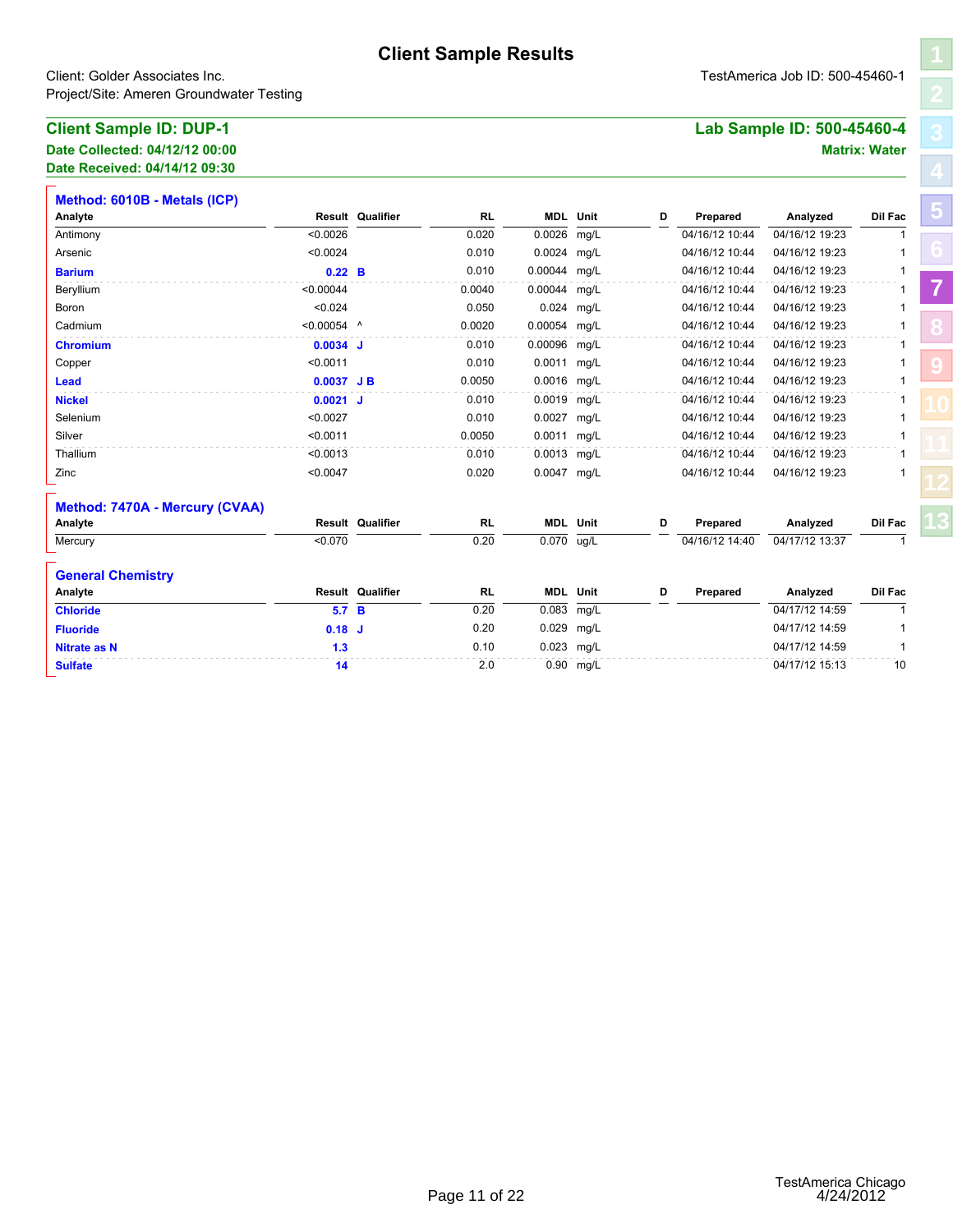| <b>Client Sample ID: DUP-1</b> | Lab Sample ID: 500-45460-4 |
|--------------------------------|----------------------------|
| Date Collected: 04/12/12 00:00 | <b>Matrix: Water</b>       |

| Client: Golder Associates Inc.<br>Project/Site: Ameren Groundwater Testing | TestAmerica Job ID: 500-45460-1 |                         |           |              |                 |   |                |                            |                      |
|----------------------------------------------------------------------------|---------------------------------|-------------------------|-----------|--------------|-----------------|---|----------------|----------------------------|----------------------|
| <b>Client Sample ID: DUP-1</b>                                             |                                 |                         |           |              |                 |   |                | Lab Sample ID: 500-45460-4 |                      |
| Date Collected: 04/12/12 00:00                                             |                                 |                         |           |              |                 |   |                |                            | <b>Matrix: Water</b> |
| Date Received: 04/14/12 09:30                                              |                                 |                         |           |              |                 |   |                |                            |                      |
| Method: 6010B - Metals (ICP)                                               |                                 |                         |           |              |                 |   |                |                            |                      |
| Analyte                                                                    |                                 | <b>Result Qualifier</b> | <b>RL</b> |              | <b>MDL</b> Unit | D | Prepared       | Analyzed                   | Dil Fac              |
| Antimony                                                                   | < 0.0026                        |                         | 0.020     | 0.0026       | mg/L            |   | 04/16/12 10:44 | 04/16/12 19:23             | $\mathbf{1}$         |
| Arsenic                                                                    | < 0.0024                        |                         | 0.010     | 0.0024 mg/L  |                 |   | 04/16/12 10:44 | 04/16/12 19:23             | 1                    |
| <b>Barium</b>                                                              | $0.22\quad B$                   |                         | 0.010     | 0.00044 mg/L |                 |   | 04/16/12 10:44 | 04/16/12 19:23             | 1                    |
| Beryllium                                                                  | < 0.00044                       |                         | 0.0040    | 0.00044      | mg/L            |   | 04/16/12 10:44 | 04/16/12 19:23             | 1                    |
| Boron                                                                      | < 0.024                         |                         | 0.050     | 0.024        | mg/L            |   | 04/16/12 10:44 | 04/16/12 19:23             | $\mathbf{1}$         |
| Cadmium                                                                    | $< 0.00054$ ^                   |                         | 0.0020    | 0.00054      | mg/L            |   | 04/16/12 10:44 | 04/16/12 19:23             | 1                    |
| <b>Chromium</b>                                                            | $0.0034$ J                      |                         | 0.010     | 0.00096      | mg/L            |   | 04/16/12 10:44 | 04/16/12 19:23             | 1                    |
| Copper                                                                     | < 0.0011                        |                         | 0.010     | 0.0011 mg/L  |                 |   | 04/16/12 10:44 | 04/16/12 19:23             | 1                    |
| <b>Lead</b>                                                                | $0.0037$ JB                     |                         | 0.0050    | 0.0016 mg/L  |                 |   | 04/16/12 10:44 | 04/16/12 19:23             | 1                    |
| <b>Nickel</b>                                                              | $0.0021$ J                      |                         | 0.010     | 0.0019 mg/L  |                 |   | 04/16/12 10:44 | 04/16/12 19:23             | 1                    |
| Selenium                                                                   | < 0.0027                        |                         | 0.010     | 0.0027 mg/L  |                 |   | 04/16/12 10:44 | 04/16/12 19:23             |                      |
| Silver                                                                     | < 0.0011                        |                         | 0.0050    | 0.0011 mg/L  |                 |   | 04/16/12 10:44 | 04/16/12 19:23             | 1                    |
| Thallium                                                                   | < 0.0013                        |                         | 0.010     | 0.0013 mg/L  |                 |   | 04/16/12 10:44 | 04/16/12 19:23             | 1                    |
| Zinc                                                                       | < 0.0047                        |                         | 0.020     | 0.0047 mg/L  |                 |   | 04/16/12 10:44 | 04/16/12 19:23             |                      |
| Method: 7470A - Mercury (CVAA)                                             |                                 |                         |           |              |                 |   |                |                            |                      |
| Analyte                                                                    |                                 | <b>Result Qualifier</b> | RL        |              | <b>MDL</b> Unit | D | Prepared       | Analyzed                   | Dil Fac              |
| Mercury                                                                    | < 0.070                         |                         | 0.20      | 0.070        | ug/L            |   | 04/16/12 14:40 | 04/17/12 13:37             | $\mathbf{1}$         |
| <b>General Chemistry</b>                                                   |                                 |                         |           |              |                 |   |                |                            |                      |
| Analyte                                                                    |                                 | <b>Result Qualifier</b> | RL        |              | <b>MDL</b> Unit | D | Prepared       | Analyzed                   | Dil Fac              |
| <b>Chloride</b>                                                            | 5.7 B                           |                         | 0.20      | 0.083        | mg/L            |   |                | 04/17/12 14:59             | 1                    |
| <b>Fluoride</b>                                                            | $0.18$ J                        |                         | 0.20      | 0.029        | mg/L            |   |                | 04/17/12 14:59             | 1                    |
| <b>Nitrate as N</b>                                                        | 1.3                             |                         | 0.10      | 0.023 mg/L   |                 |   |                | 04/17/12 14:59             | $\mathbf{1}$         |
| <b>Sulfate</b>                                                             | 14                              |                         | 2.0       |              | 0.90 mg/L       |   |                | 04/17/12 15:13             | 10                   |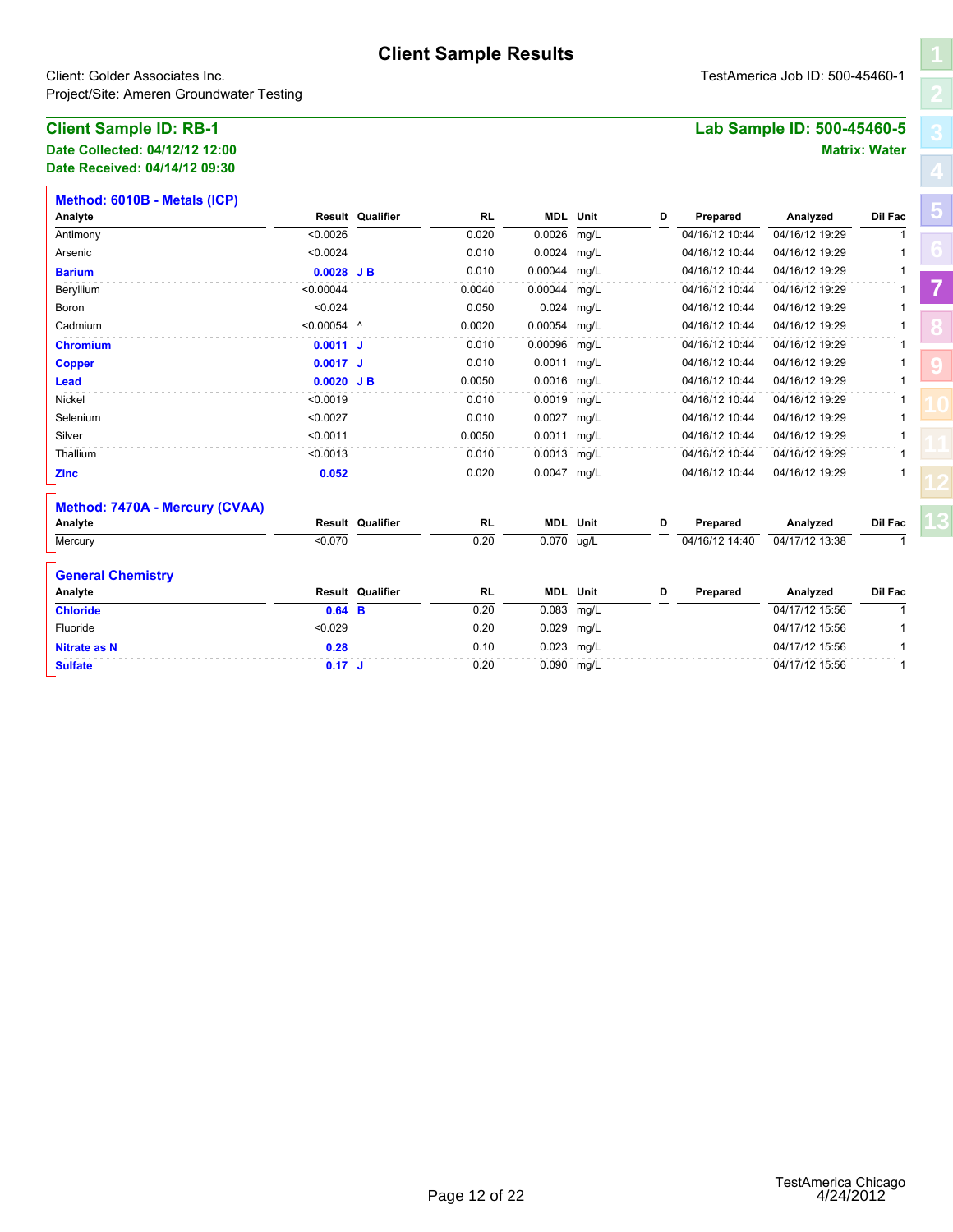| <b>Client Sample ID: RB-1</b>  | Lab Sample ID: 500-45460-5 |
|--------------------------------|----------------------------|
| Date Collected: 04/12/12 12:00 | <b>Matrix: Water</b>       |

| Client: Golder Associates Inc.<br>Project/Site: Ameren Groundwater Testing | TestAmerica Job ID: 500-45460-1 |                         |           |                         |                 |   |                |                            |                         |
|----------------------------------------------------------------------------|---------------------------------|-------------------------|-----------|-------------------------|-----------------|---|----------------|----------------------------|-------------------------|
| <b>Client Sample ID: RB-1</b>                                              |                                 |                         |           |                         |                 |   |                | Lab Sample ID: 500-45460-5 |                         |
| Date Collected: 04/12/12 12:00                                             |                                 |                         |           |                         |                 |   |                |                            | <b>Matrix: Water</b>    |
| Date Received: 04/14/12 09:30                                              |                                 |                         |           |                         |                 |   |                |                            |                         |
| Method: 6010B - Metals (ICP)                                               |                                 |                         |           |                         |                 |   |                |                            |                         |
| Analyte                                                                    |                                 | <b>Result Qualifier</b> | <b>RL</b> |                         | <b>MDL</b> Unit | D | Prepared       | Analyzed                   | Dil Fac                 |
| Antimony                                                                   | < 0.0026                        |                         | 0.020     | 0.0026                  | mg/L            |   | 04/16/12 10:44 | 04/16/12 19:29             | 1                       |
| Arsenic                                                                    | < 0.0024                        |                         | 0.010     | 0.0024 mg/L             |                 |   | 04/16/12 10:44 | 04/16/12 19:29             | 1                       |
| <b>Barium</b>                                                              | $0.0028$ JB                     |                         | 0.010     | 0.00044 mg/L            |                 |   | 04/16/12 10:44 | 04/16/12 19:29             | 1                       |
| Beryllium                                                                  | < 0.00044                       |                         | 0.0040    | 0.00044 mg/L            |                 |   | 04/16/12 10:44 | 04/16/12 19:29             | 1                       |
| Boron                                                                      | < 0.024                         |                         | 0.050     | 0.024                   | mg/L            |   | 04/16/12 10:44 | 04/16/12 19:29             | 1                       |
| Cadmium                                                                    | $< 0.00054$ ^                   |                         | 0.0020    | 0.00054 mg/L            |                 |   | 04/16/12 10:44 | 04/16/12 19:29             | 1                       |
| <b>Chromium</b>                                                            | $0.0011$ J                      |                         | 0.010     | 0.00096 mg/L            |                 |   | 04/16/12 10:44 | 04/16/12 19:29             | 1                       |
| <b>Copper</b>                                                              | $0.0017$ J                      |                         | 0.010     | 0.0011 mg/L             |                 |   | 04/16/12 10:44 | 04/16/12 19:29             |                         |
| Lead                                                                       | $0.0020$ JB                     |                         | 0.0050    | 0.0016 mg/L             |                 |   | 04/16/12 10:44 | 04/16/12 19:29             | 1                       |
| Nickel                                                                     | < 0.0019                        |                         | 0.010     | 0.0019 mg/L             |                 |   | 04/16/12 10:44 | 04/16/12 19:29             | 1                       |
| Selenium                                                                   | < 0.0027                        |                         | 0.010     | 0.0027                  | mg/L            |   | 04/16/12 10:44 | 04/16/12 19:29             |                         |
| Silver                                                                     | < 0.0011                        |                         | 0.0050    | 0.0011 mg/L             |                 |   | 04/16/12 10:44 | 04/16/12 19:29             | 1                       |
| Thallium                                                                   | < 0.0013                        |                         | 0.010     | 0.0013 mg/L             |                 |   | 04/16/12 10:44 | 04/16/12 19:29             |                         |
| <b>Zinc</b>                                                                | 0.052                           |                         | 0.020     | 0.0047 mg/L             |                 |   | 04/16/12 10:44 | 04/16/12 19:29             |                         |
| Method: 7470A - Mercury (CVAA)                                             |                                 |                         |           |                         |                 |   |                |                            |                         |
| Analyte                                                                    |                                 | <b>Result Qualifier</b> | RL        |                         | <b>MDL</b> Unit | D | Prepared       | Analyzed                   | Dil Fac<br>$\mathbf{1}$ |
| Mercury                                                                    | < 0.070                         |                         | 0.20      | $\overline{0.070}$ ug/L |                 |   | 04/16/12 14:40 | 04/17/12 13:38             |                         |
| <b>General Chemistry</b>                                                   |                                 |                         |           |                         |                 |   |                |                            |                         |
| Analyte                                                                    |                                 | Result Qualifier        | <b>RL</b> |                         | <b>MDL</b> Unit | D | Prepared       | Analyzed                   | Dil Fac                 |
| <b>Chloride</b>                                                            | $0.64$ B                        |                         | 0.20      | 0.083 mg/L              |                 |   |                | 04/17/12 15:56             | 1                       |
| Fluoride                                                                   | < 0.029                         |                         | 0.20      | 0.029 mg/L              |                 |   |                | 04/17/12 15:56             | 1                       |
| <b>Nitrate as N</b>                                                        | 0.28                            |                         | 0.10      | 0.023 mg/L              |                 |   |                | 04/17/12 15:56             | 1                       |
| <b>Sulfate</b>                                                             | $0.17$ J                        |                         | 0.20      | 0.090 mg/L              |                 |   |                | 04/17/12 15:56             | $\mathbf{1}$            |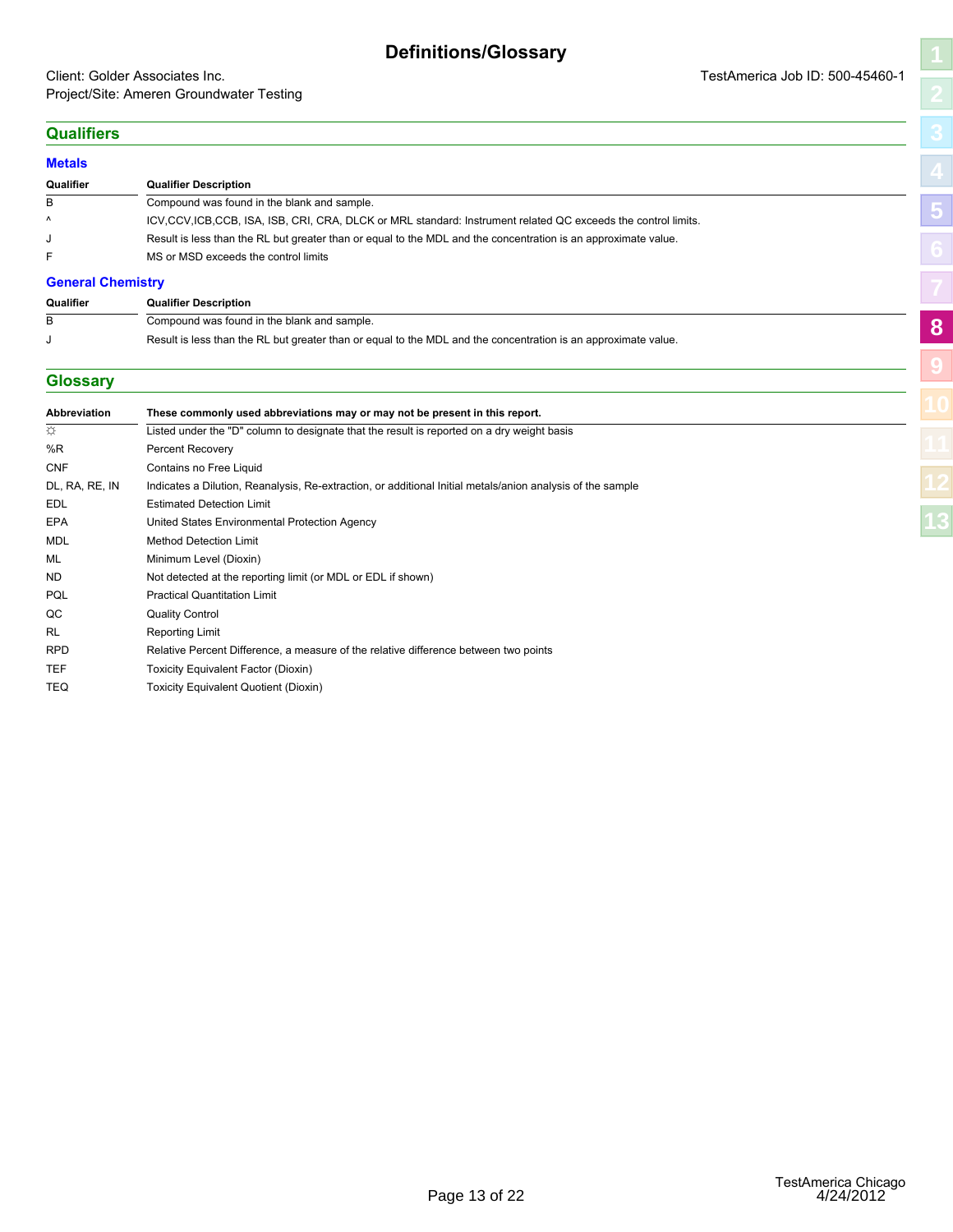#### <span id="page-15-1"></span><span id="page-15-0"></span>Client: Golder Associates Inc. TestAmerica Job ID: 500-45460-1 Project/Site: Ameren Groundwater Testing

# **[8](#page-15-0) [9](#page-16-0)**

#### **Qualifiers**

| <b>Metals</b>     |                                                                                                                 |  |
|-------------------|-----------------------------------------------------------------------------------------------------------------|--|
| Qualifier         | <b>Qualifier Description</b>                                                                                    |  |
| B                 | Compound was found in the blank and sample.                                                                     |  |
| $\lambda$         | ICV, CCV, ICB, CCB, ISA, ISB, CRI, CRA, DLCK or MRL standard: Instrument related QC exceeds the control limits. |  |
|                   | Result is less than the RL but greater than or equal to the MDL and the concentration is an approximate value.  |  |
|                   | MS or MSD exceeds the control limits                                                                            |  |
| Cananal Chamister |                                                                                                                 |  |

#### **General Chemistry**

| Qualifier | <b>Qualifier Description</b>                                                                                   |
|-----------|----------------------------------------------------------------------------------------------------------------|
|           | Compound was found in the blank and sample.                                                                    |
|           | Result is less than the RL but greater than or equal to the MDL and the concentration is an approximate value. |

#### **Glossary**

| B                   | Compound was found in the blank and sample.                                                                    | 8 |
|---------------------|----------------------------------------------------------------------------------------------------------------|---|
| J                   | Result is less than the RL but greater than or equal to the MDL and the concentration is an approximate value. |   |
| <b>Glossary</b>     |                                                                                                                |   |
|                     |                                                                                                                |   |
| <b>Abbreviation</b> | These commonly used abbreviations may or may not be present in this report.                                    |   |
| ☆                   | Listed under the "D" column to designate that the result is reported on a dry weight basis                     |   |
| %R                  | Percent Recovery                                                                                               |   |
| <b>CNF</b>          | Contains no Free Liquid                                                                                        |   |
| DL, RA, RE, IN      | Indicates a Dilution, Reanalysis, Re-extraction, or additional Initial metals/anion analysis of the sample     |   |
| <b>EDL</b>          | <b>Estimated Detection Limit</b>                                                                               |   |
| EPA                 | United States Environmental Protection Agency                                                                  |   |
| <b>MDL</b>          | <b>Method Detection Limit</b>                                                                                  |   |
| ML                  | Minimum Level (Dioxin)                                                                                         |   |
| <b>ND</b>           | Not detected at the reporting limit (or MDL or EDL if shown)                                                   |   |
| PQL                 | <b>Practical Quantitation Limit</b>                                                                            |   |
| QC                  | <b>Quality Control</b>                                                                                         |   |
| <b>RL</b>           | Reporting Limit                                                                                                |   |
| <b>RPD</b>          | Relative Percent Difference, a measure of the relative difference between two points                           |   |
| <b>TEF</b>          | Toxicity Equivalent Factor (Dioxin)                                                                            |   |
| <b>TEQ</b>          | Toxicity Equivalent Quotient (Dioxin)                                                                          |   |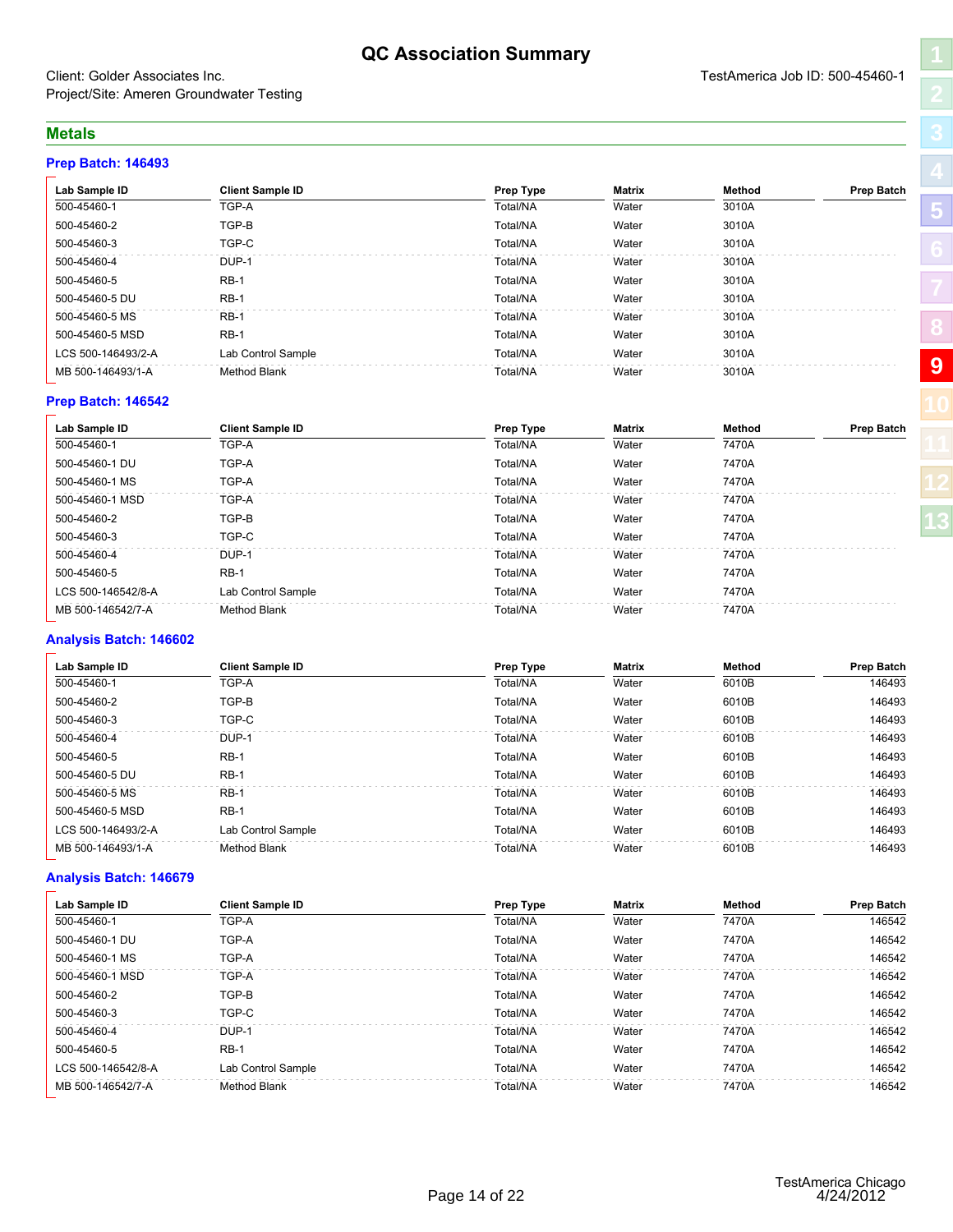#### **QC Association Summary**

#### <span id="page-16-1"></span><span id="page-16-0"></span>Client: Golder Associates Inc. TestAmerica Job ID: 500-45460-1 Project/Site: Ameren Groundwater Testing

#### **Metals**

#### **Prep Batch: 146493**

| Lab Sample ID      | <b>Client Sample ID</b> | Prep Type | Matrix | Method | <b>Prep Batch</b> |
|--------------------|-------------------------|-----------|--------|--------|-------------------|
| 500-45460-1        | TGP-A                   | Total/NA  | Water  | 3010A  |                   |
| 500-45460-2        | TGP-B                   | Total/NA  | Water  | 3010A  |                   |
| 500-45460-3        | TGP-C                   | Total/NA  | Water  | 3010A  |                   |
| 500-45460-4        | DUP-1                   | Total/NA  | Water  | 3010A  |                   |
| 500-45460-5        | $RB-1$                  | Total/NA  | Water  | 3010A  |                   |
| 500-45460-5 DU     | $RB-1$                  | Total/NA  | Water  | 3010A  |                   |
| 500-45460-5 MS     | $RB-1$                  | Total/NA  | Water  | 3010A  |                   |
| 500-45460-5 MSD    | $RB-1$                  | Total/NA  | Water  | 3010A  |                   |
| LCS 500-146493/2-A | Lab Control Sample      | Total/NA  | Water  | 3010A  |                   |
| MB 500-146493/1-A  | Method Blank            | Total/NA  | Water  | 3010A  | 9                 |

#### **Prep Batch: 146542**

| Lab Sample ID      | <b>Client Sample ID</b> | <b>Prep Type</b> | Matrix | Method | <b>Prep Batch</b> |  |
|--------------------|-------------------------|------------------|--------|--------|-------------------|--|
| 500-45460-1        | TGP-A                   | Total/NA         | Water  | 7470A  |                   |  |
| 500-45460-1 DU     | TGP-A                   | Total/NA         | Water  | 7470A  |                   |  |
| 500-45460-1 MS     | TGP-A                   | Total/NA         | Water  | 7470A  |                   |  |
| 500-45460-1 MSD    | TGP-A                   | Total/NA         | Water  | 7470A  |                   |  |
| 500-45460-2        | TGP-B                   | Total/NA         | Water  | 7470A  |                   |  |
| 500-45460-3        | TGP-C                   | Total/NA         | Water  | 7470A  |                   |  |
| 500-45460-4        | DUP-1                   | Total/NA         | Water  | 7470A  |                   |  |
| 500-45460-5        | $RB-1$                  | Total/NA         | Water  | 7470A  |                   |  |
| LCS 500-146542/8-A | Lab Control Sample      | Total/NA         | Water  | 7470A  |                   |  |
| MB 500-146542/7-A  | <b>Method Blank</b>     | Total/NA         | Water  | 7470A  |                   |  |

#### **Analysis Batch: 146602**

| Lab Sample ID      | <b>Client Sample ID</b> | <b>Prep Type</b> | <b>Matrix</b> | Method | <b>Prep Batch</b> |
|--------------------|-------------------------|------------------|---------------|--------|-------------------|
| 500-45460-1        | TGP-A                   | Total/NA         | Water         | 6010B  | 146493            |
| 500-45460-2        | TGP-B                   | Total/NA         | Water         | 6010B  | 146493            |
| 500-45460-3        | TGP-C                   | Total/NA         | Water         | 6010B  | 146493            |
| 500-45460-4        | DUP-1                   | Total/NA         | Water         | 6010B  | 146493            |
| 500-45460-5        | $RB-1$                  | Total/NA         | Water         | 6010B  | 146493            |
| 500-45460-5 DU     | $RB-1$                  | Total/NA         | Water         | 6010B  | 146493            |
| 500-45460-5 MS     | $RB-1$                  | Total/NA         | Water         | 6010B  | 146493            |
| 500-45460-5 MSD    | $RB-1$                  | Total/NA         | Water         | 6010B  | 146493            |
| LCS 500-146493/2-A | Lab Control Sample      | Total/NA         | Water         | 6010B  | 146493            |
| MB 500-146493/1-A  | Method Blank            | Total/NA         | Water         | 6010B  | 146493            |

#### **Analysis Batch: 146679**

| Lab Sample ID      | <b>Client Sample ID</b> | Prep Type | Matrix | Method | <b>Prep Batch</b> |
|--------------------|-------------------------|-----------|--------|--------|-------------------|
| 500-45460-1        | TGP-A                   | Total/NA  | Water  | 7470A  | 146542            |
| 500-45460-1 DU     | TGP-A                   | Total/NA  | Water  | 7470A  | 146542            |
| 500-45460-1 MS     | TGP-A                   | Total/NA  | Water  | 7470A  | 146542            |
| 500-45460-1 MSD    | TGP-A                   | Total/NA  | Water  | 7470A  | 146542            |
| 500-45460-2        | TGP-B                   | Total/NA  | Water  | 7470A  | 146542            |
| 500-45460-3        | TGP-C                   | Total/NA  | Water  | 7470A  | 146542            |
| 500-45460-4        | DUP-1                   | Total/NA  | Water  | 7470A  | 146542            |
| 500-45460-5        | $RB-1$                  | Total/NA  | Water  | 7470A  | 146542            |
| LCS 500-146542/8-A | Lab Control Sample      | Total/NA  | Water  | 7470A  | 146542            |
| MB 500-146542/7-A  | Method Blank            | Total/NA  | Water  | 7470A  | 146542            |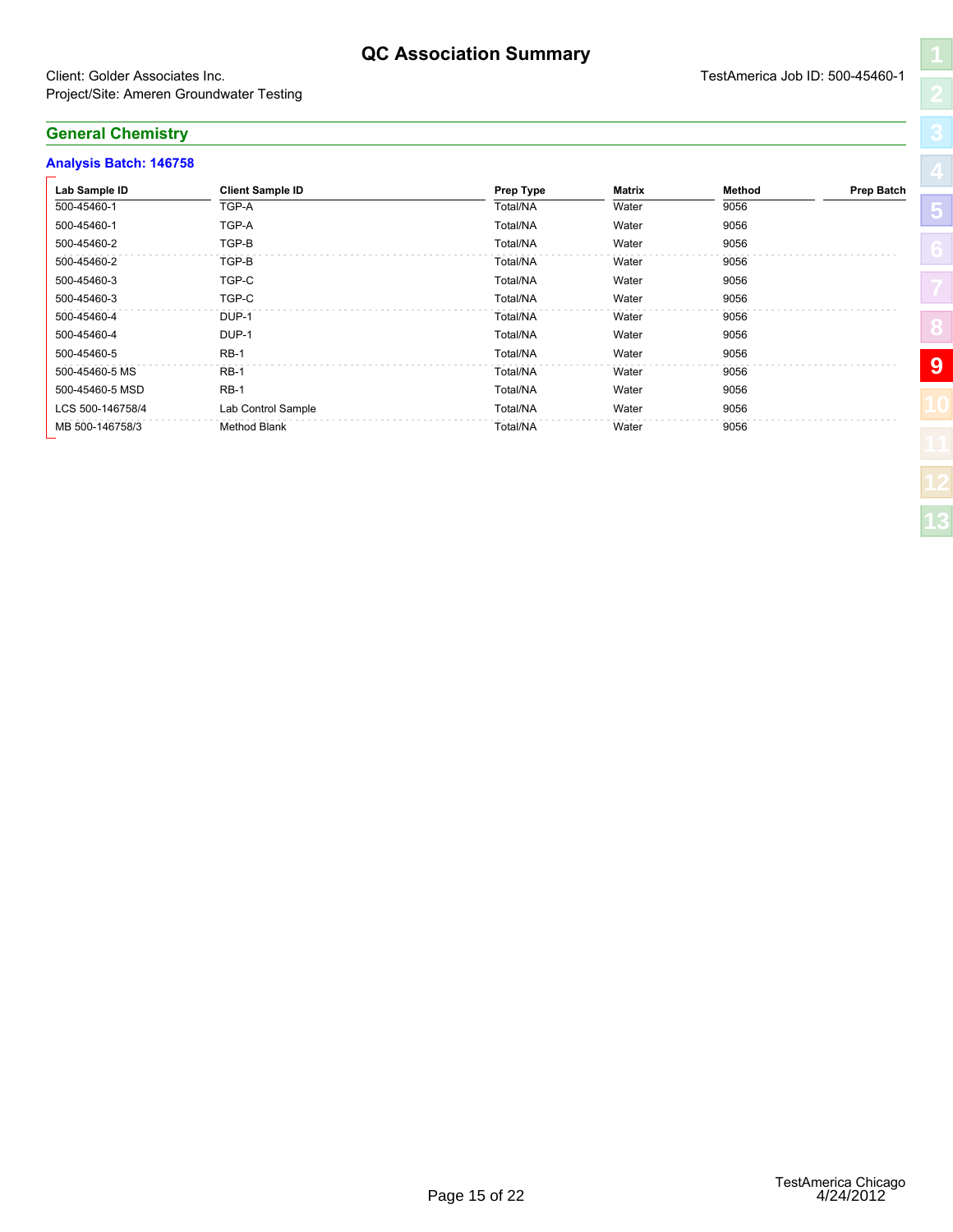#### **QC Association Summary**

#### Client: Golder Associates Inc. TestAmerica Job ID: 500-45460-1 Project/Site: Ameren Groundwater Testing

#### **General Chemistry**

#### **Analysis Batch: 146758**

| Lab Sample ID    | <b>Client Sample ID</b> | Prep Type | Matrix | Method | <b>Prep Batch</b> |
|------------------|-------------------------|-----------|--------|--------|-------------------|
| 500-45460-1      | TGP-A                   | Total/NA  | Water  | 9056   |                   |
| 500-45460-1      | TGP-A                   | Total/NA  | Water  | 9056   |                   |
| 500-45460-2      | TGP-B                   | Total/NA  | Water  | 9056   |                   |
| 500-45460-2      | TGP-B                   | Total/NA  | Water  | 9056   |                   |
| 500-45460-3      | TGP-C                   | Total/NA  | Water  | 9056   |                   |
| 500-45460-3      | TGP-C                   | Total/NA  | Water  | 9056   |                   |
| 500-45460-4      | DUP-1                   | Total/NA  | Water  | 9056   |                   |
| 500-45460-4      | DUP-1                   | Total/NA  | Water  | 9056   |                   |
| 500-45460-5      | $RB-1$                  | Total/NA  | Water  | 9056   |                   |
| 500-45460-5 MS   | $RB-1$                  | Total/NA  | Water  | 9056   | $\boldsymbol{9}$  |
| 500-45460-5 MSD  | $RB-1$                  | Total/NA  | Water  | 9056   |                   |
| LCS 500-146758/4 | Lab Control Sample      | Total/NA  | Water  | 9056   |                   |
| MB 500-146758/3  | Method Blank            | Total/NA  | Water  | 9056   |                   |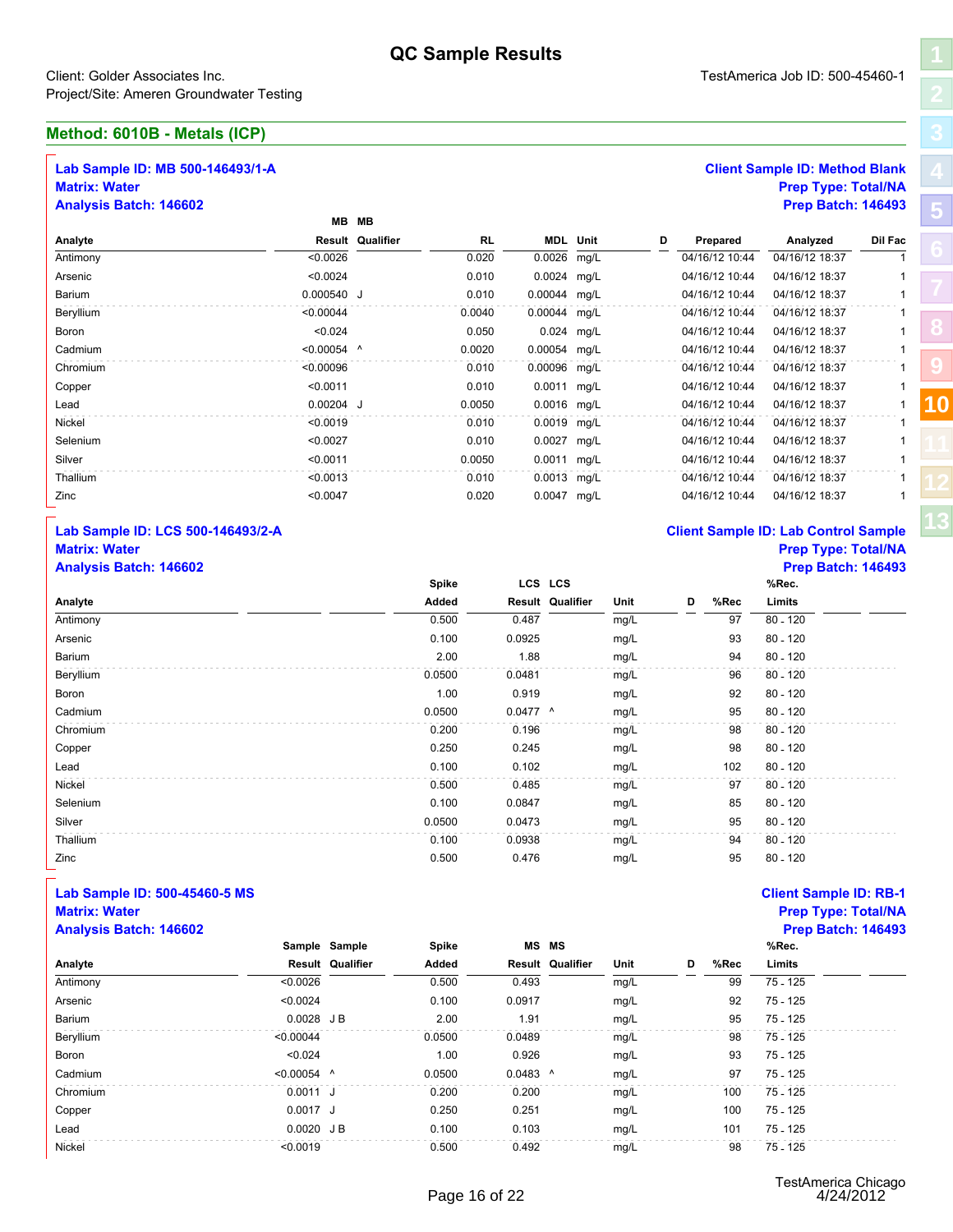#### **Method: 6010B - Metals (ICP)**

#### **Lab Sample ID: MB 500-146493/1-A Client Sample ID: Method Blank Matrix: Water Prep Type: Total/NA**

<span id="page-18-1"></span><span id="page-18-0"></span>

|                                                                                           |               |                  | <b>QU</b> Jailiple Results |         |                  |      |   |                |                                                                                                  |              |    |
|-------------------------------------------------------------------------------------------|---------------|------------------|----------------------------|---------|------------------|------|---|----------------|--------------------------------------------------------------------------------------------------|--------------|----|
| Client: Golder Associates Inc.<br>roject/Site: Ameren Groundwater Testing                 |               |                  |                            |         |                  |      |   |                | TestAmerica Job ID: 500-45460-1                                                                  |              |    |
| Aethod: 6010B - Metals (ICP)                                                              |               |                  |                            |         |                  |      |   |                |                                                                                                  |              |    |
| Lab Sample ID: MB 500-146493/1-A<br><b>Matrix: Water</b><br><b>Analysis Batch: 146602</b> |               | MB MB            |                            |         |                  |      |   |                | <b>Client Sample ID: Method Blank</b><br><b>Prep Type: Total/NA</b><br><b>Prep Batch: 146493</b> |              |    |
| Analyte                                                                                   |               | Result Qualifier | <b>RL</b>                  |         | <b>MDL</b> Unit  |      | D | Prepared       | Analyzed                                                                                         | Dil Fac      |    |
| Antimony                                                                                  | < 0.0026      |                  | 0.020                      |         | 0.0026 mg/L      |      |   | 04/16/12 10:44 | 04/16/12 18:37                                                                                   |              |    |
| Arsenic                                                                                   | < 0.0024      |                  | 0.010                      |         | 0.0024 mg/L      |      |   | 04/16/12 10:44 | 04/16/12 18:37                                                                                   |              |    |
| Barium                                                                                    | 0.000540 J    |                  | 0.010                      |         | 0.00044 mg/L     |      |   | 04/16/12 10:44 | 04/16/12 18:37                                                                                   |              |    |
| Beryllium                                                                                 | < 0.00044     |                  | 0.0040                     |         | 0.00044 mg/L     |      |   | 04/16/12 10:44 | 04/16/12 18:37                                                                                   | -1           |    |
| Boron                                                                                     | < 0.024       |                  | 0.050                      |         | 0.024 mg/L       |      |   | 04/16/12 10:44 | 04/16/12 18:37                                                                                   |              |    |
| Cadmium                                                                                   | $< 0.00054$ ^ |                  | 0.0020                     |         | 0.00054 mg/L     |      |   | 04/16/12 10:44 | 04/16/12 18:37                                                                                   | -1           |    |
| Chromium                                                                                  | < 0.00096     |                  | 0.010                      |         | 0.00096 mg/L     |      |   | 04/16/12 10:44 | 04/16/12 18:37                                                                                   |              |    |
| Copper                                                                                    | < 0.0011      |                  | 0.010                      |         | 0.0011 mg/L      |      |   | 04/16/12 10:44 | 04/16/12 18:37                                                                                   | -1           |    |
| Lead                                                                                      | $0.00204$ J   |                  | 0.0050                     |         | 0.0016 mg/L      |      |   | 04/16/12 10:44 | 04/16/12 18:37                                                                                   | $\mathbf{1}$ | 10 |
| Nickel                                                                                    | < 0.0019      |                  | 0.010                      |         | 0.0019 mg/L      |      |   | 04/16/12 10:44 | 04/16/12 18:37                                                                                   | -1           |    |
| Selenium                                                                                  | < 0.0027      |                  | 0.010                      |         | 0.0027 mg/L      |      |   | 04/16/12 10:44 | 04/16/12 18:37                                                                                   |              |    |
| Silver                                                                                    | < 0.0011      |                  | 0.0050                     |         | 0.0011 mg/L      |      |   | 04/16/12 10:44 | 04/16/12 18:37                                                                                   |              |    |
| Thallium                                                                                  | < 0.0013      |                  | 0.010                      |         | 0.0013 mg/L      |      |   | 04/16/12 10:44 | 04/16/12 18:37                                                                                   |              |    |
| Zinc                                                                                      | < 0.0047      |                  | 0.020                      |         | 0.0047 mg/L      |      |   | 04/16/12 10:44 | 04/16/12 18:37                                                                                   |              |    |
| Lab Sample ID: LCS 500-146493/2-A                                                         |               |                  |                            |         |                  |      |   |                | <b>Client Sample ID: Lab Control Sample</b>                                                      |              |    |
| <b>Matrix: Water</b>                                                                      |               |                  |                            |         |                  |      |   |                | <b>Prep Type: Total/NA</b>                                                                       |              |    |
| <b>Analysis Batch: 146602</b>                                                             |               |                  |                            |         |                  |      |   |                | <b>Prep Batch: 146493</b>                                                                        |              |    |
|                                                                                           |               |                  | Spike                      | LCS LCS |                  |      |   |                | %Rec.                                                                                            |              |    |
| Analyte                                                                                   |               |                  | Added                      |         | Result Qualifier | Unit |   | %Rec<br>D      | Limits                                                                                           |              |    |
| Antimony                                                                                  |               |                  | 0.500                      | 0.487   |                  | mg/L |   | 97             | $80 - 120$                                                                                       |              |    |

#### **Lab Sample ID: LCS 500-146493/2-A C Matrix: Water Prep Type: Total/NA**

| Analyte                           | < 0.0026 | <b>Result Qualifier</b> | Added<br>0.500 | 0.493      | <b>Result Qualifier</b> | Unit | D | %Rec<br>99     | Limits<br>$75 - 125$                        |   |
|-----------------------------------|----------|-------------------------|----------------|------------|-------------------------|------|---|----------------|---------------------------------------------|---|
|                                   |          | Sample Sample           | Spike          | <b>MS</b>  | <b>MS</b>               |      |   |                | %Rec.                                       |   |
| <b>Analysis Batch: 146602</b>     |          |                         |                |            |                         |      |   |                | <b>Prep Batch: 146493</b>                   |   |
| <b>Matrix: Water</b>              |          |                         |                |            |                         |      |   |                | <b>Prep Type: Total/NA</b>                  |   |
| Lab Sample ID: 500-45460-5 MS     |          |                         |                |            |                         |      |   |                | <b>Client Sample ID: RB-1</b>               |   |
| Zinc                              |          |                         | 0.500          | 0.476      |                         | mg/L |   | 95             | $80 - 120$                                  |   |
| Thallium                          |          |                         | 0.100          | 0.0938     |                         | mg/L |   | 94             | $80 - 120$                                  |   |
| Silver                            |          |                         | 0.0500         | 0.0473     |                         | mg/L |   | 95             | $80 - 120$                                  |   |
| Selenium                          |          |                         | 0.100          | 0.0847     |                         | mg/L |   | 85             | $80 - 120$                                  |   |
| Nickel                            |          |                         | 0.500          | 0.485      |                         | mg/L |   | 97             | $80 - 120$                                  |   |
| Lead                              |          |                         | 0.100          | 0.102      |                         | mg/L |   | 102            | $80 - 120$                                  |   |
| Copper                            |          |                         | 0.250          | 0.245      |                         | mg/L |   | 98             | $80 - 120$                                  |   |
| Chromium                          |          |                         | 0.200          | 0.196      |                         | mg/L |   | 98             | $80 - 120$                                  |   |
| Cadmium                           |          |                         | 0.0500         | $0.0477$ ^ |                         | mg/L |   | 95             | $80 - 120$                                  |   |
| Boron                             |          |                         | 1.00           | 0.919      |                         | mg/L |   | 92             | $80 - 120$                                  |   |
| Beryllium                         |          |                         | 0.0500         | 0.0481     |                         | mg/L |   | 96             | $80 - 120$                                  |   |
| Barium                            |          |                         | 2.00           | 1.88       |                         | mg/L |   | 94             | $80 - 120$                                  |   |
| Arsenic                           |          |                         | 0.100          | 0.0925     |                         | mg/L |   | 93             | $80 - 120$                                  |   |
| Antimony                          |          |                         | 0.500          | 0.487      |                         | mg/L |   | 97             | $80 - 120$                                  |   |
| Analyte                           |          |                         | Added          |            | <b>Result Qualifier</b> | Unit | D | %Rec           | Limits                                      |   |
| <b>Analysis Batch: 146602</b>     |          |                         | Spike          |            | LCS LCS                 |      |   |                | <b>Prep Batch: 146493</b><br>%Rec.          |   |
| <b>Matrix: Water</b>              |          |                         |                |            |                         |      |   |                | <b>Prep Type: Total/NA</b>                  |   |
| Lab Sample ID: LCS 500-146493/2-A |          |                         |                |            |                         |      |   |                | <b>Client Sample ID: Lab Control Sample</b> |   |
| Zinc                              |          | < 0.0047                |                | 0.020      | 0.0047 mg/L             |      |   | 04/16/12 10:44 | 04/16/12 18:37                              | 1 |
| Thallium                          |          | < 0.0013                |                | 0.010      | 0.0013 mg/L             |      |   | 04/16/12 10:44 | 04/16/12 18:37                              | 1 |
| Silver                            |          | < 0.0011                | 0.0050         |            | 0.0011 mg/L             |      |   | 04/16/12 10:44 | 04/16/12 18:37                              | 1 |
| Selenium                          |          | < 0.0027                |                | 0.010      | 0.0027 mg/L             |      |   | 04/16/12 10:44 | 04/16/12 18:37                              | 1 |

#### **Lab Sample ID: 500-45460-5 MS Client Sample ID: RB-1 Matrix: Water Prep Type: Total/NA**

|           | 0.0500                                                                                                            | 0.0473 | mg/L                                    |   | 95   | 80 - 120                      |
|-----------|-------------------------------------------------------------------------------------------------------------------|--------|-----------------------------------------|---|------|-------------------------------|
|           |                                                                                                                   |        |                                         |   |      |                               |
|           | 0.100                                                                                                             | 0.0938 | mg/L                                    |   | 94   | $80 - 120$                    |
|           | 0.500                                                                                                             | 0.476  | mg/L                                    |   | 95   | $80 - 120$                    |
|           |                                                                                                                   |        |                                         |   |      | <b>Client Sample ID: RB-1</b> |
|           |                                                                                                                   |        |                                         |   |      | <b>Prep Type: Total/NA</b>    |
|           |                                                                                                                   |        |                                         |   |      | <b>Prep Batch: 146493</b>     |
|           | Spike                                                                                                             |        |                                         |   |      | %Rec.                         |
|           | Added                                                                                                             |        | Unit                                    | D | %Rec | Limits                        |
| < 0.0026  | 0.500                                                                                                             | 0.493  | mg/L                                    |   | 99   | 75 - 125                      |
| < 0.0024  | 0.100                                                                                                             | 0.0917 | mg/L                                    |   | 92   | 75 - 125                      |
|           | 2.00                                                                                                              | 1.91   | mg/L                                    |   | 95   | 75 - 125                      |
| < 0.00044 | 0.0500                                                                                                            | 0.0489 | mg/L                                    |   | 98   | 75 - 125                      |
| < 0.024   | 1.00                                                                                                              | 0.926  | mg/L                                    |   | 93   | 75 - 125                      |
|           | 0.0500                                                                                                            |        | mg/L                                    |   | 97   | 75 - 125                      |
|           | 0.200                                                                                                             | 0.200  | mg/L                                    |   | 100  | 75 - 125                      |
|           | 0.250                                                                                                             | 0.251  | mg/L                                    |   | 100  | 75 - 125                      |
|           | 0.100                                                                                                             | 0.103  | mg/L                                    |   | 101  | 75 - 125                      |
| < 0.0019  | 0.500                                                                                                             | 0.492  | mg/L                                    |   | 98   | 75 - 125                      |
|           | Sample Sample<br><b>Result Qualifier</b><br>$0.0028$ JB<br>$< 0.00054$ ^<br>$0.0011$ J<br>$0.0017$ J<br>0.0020 JB |        | MS MS<br>Result Qualifier<br>$0.0483$ ^ |   |      |                               |

## **Analysis Batch: 146602 Prep Batch: 146493**

| <b>Client Sample ID: Lab Control Sample</b> |  |  |
|---------------------------------------------|--|--|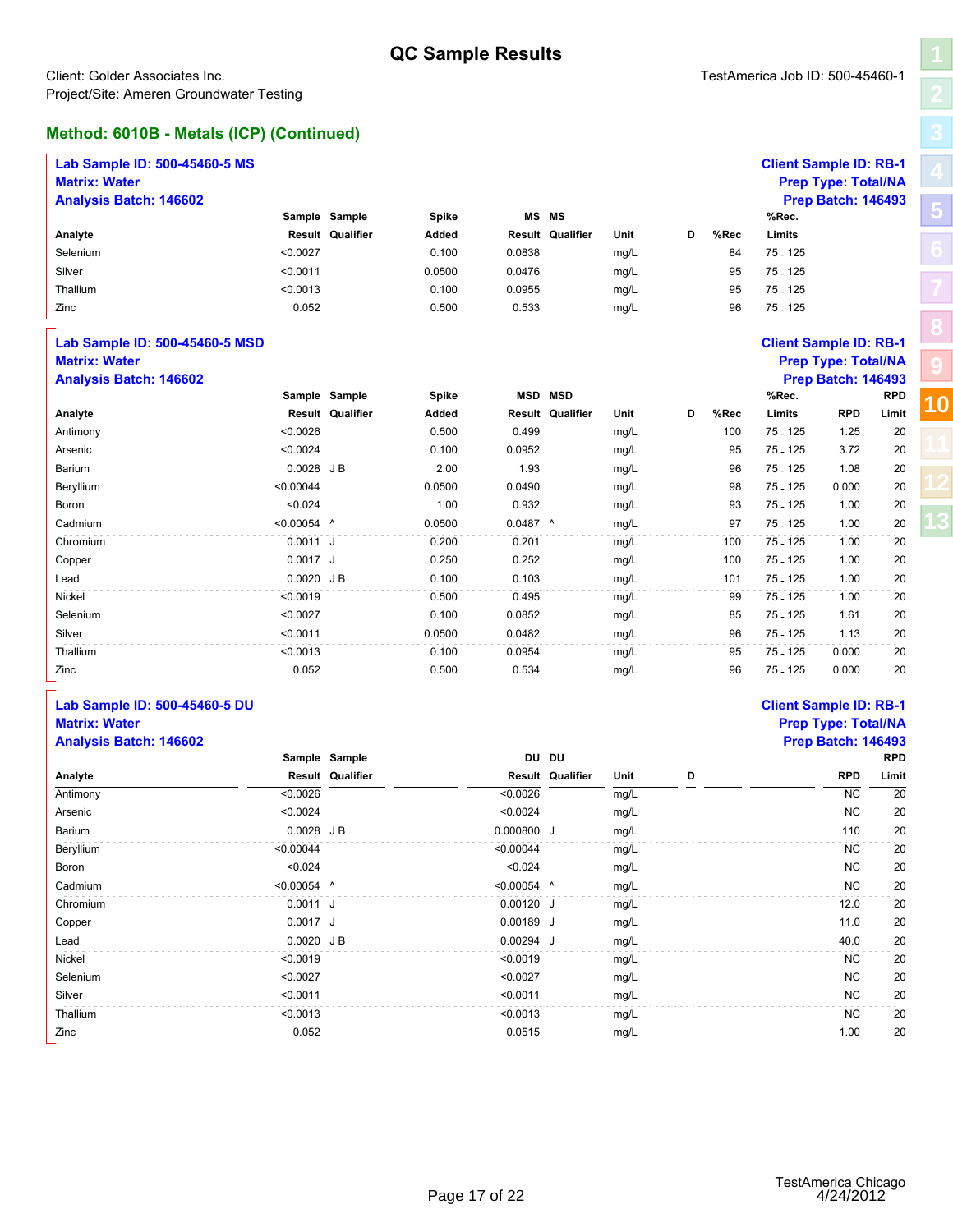| --              |                      |
|-----------------|----------------------|
|                 | $\ddot{\phantom{0}}$ |
| $B-1$           |                      |
| /NA             | Ŝ                    |
| 493<br>RPD      |                      |
| .imit           | 10                   |
| $\overline{20}$ |                      |
| 20              |                      |
| 20              |                      |
| 20              |                      |
| 20              |                      |
| 20              |                      |
|                 |                      |

| Method: 6010B - Metals (ICP) (Continued) |  |
|------------------------------------------|--|
|                                          |  |

|                                                                            |               |                                 | <b>QC Sample Results</b> |            |                         |      |   |      |                               |                            |            |  |
|----------------------------------------------------------------------------|---------------|---------------------------------|--------------------------|------------|-------------------------|------|---|------|-------------------------------|----------------------------|------------|--|
| Client: Golder Associates Inc.<br>Project/Site: Ameren Groundwater Testing |               | TestAmerica Job ID: 500-45460-1 |                          |            |                         |      |   |      |                               |                            |            |  |
| Method: 6010B - Metals (ICP) (Continued)                                   |               |                                 |                          |            |                         |      |   |      |                               |                            |            |  |
| Lab Sample ID: 500-45460-5 MS<br><b>Matrix: Water</b>                      |               |                                 |                          |            |                         |      |   |      | <b>Client Sample ID: RB-1</b> | <b>Prep Type: Total/NA</b> |            |  |
| <b>Analysis Batch: 146602</b>                                              |               |                                 |                          |            |                         |      |   |      |                               | <b>Prep Batch: 146493</b>  |            |  |
|                                                                            |               | Sample Sample                   | Spike                    |            | <b>MS MS</b>            |      |   |      | %Rec.                         |                            |            |  |
| Analyte                                                                    |               | Result Qualifier                | Added                    |            | Result Qualifier        | Unit | D | %Rec | Limits                        |                            |            |  |
| Selenium                                                                   | < 0.0027      |                                 | 0.100                    | 0.0838     |                         | mg/L |   | 84   | 75 - 125                      |                            |            |  |
| Silver                                                                     | < 0.0011      |                                 | 0.0500                   | 0.0476     |                         | mg/L |   | 95   | 75 - 125                      |                            |            |  |
| Thallium                                                                   | < 0.0013      |                                 | 0.100                    | 0.0955     |                         | mg/L |   | 95   | 75 - 125                      |                            |            |  |
| Zinc                                                                       | 0.052         |                                 | 0.500                    | 0.533      |                         | mg/L |   | 96   | $75 - 125$                    |                            |            |  |
| Lab Sample ID: 500-45460-5 MSD                                             |               |                                 |                          |            |                         |      |   |      | <b>Client Sample ID: RB-1</b> |                            |            |  |
| <b>Matrix: Water</b>                                                       |               |                                 |                          |            |                         |      |   |      |                               | <b>Prep Type: Total/NA</b> |            |  |
| <b>Analysis Batch: 146602</b>                                              |               |                                 |                          |            |                         |      |   |      |                               | <b>Prep Batch: 146493</b>  |            |  |
|                                                                            |               | Sample Sample                   | Spike                    |            | <b>MSD MSD</b>          |      |   |      | %Rec.                         |                            | <b>RPD</b> |  |
| Analyte                                                                    |               | Result Qualifier                | Added                    | Result     | Qualifier               | Unit | D | %Rec | Limits                        | <b>RPD</b>                 | Limit      |  |
| Antimony                                                                   | < 0.0026      |                                 | 0.500                    | 0.499      |                         | mg/L |   | 100  | $75 - 125$                    | 1.25                       | 20         |  |
| Arsenic                                                                    | < 0.0024      |                                 | 0.100                    | 0.0952     |                         | mg/L |   | 95   | 75 - 125                      | 3.72                       | 20         |  |
| Barium                                                                     | $0.0028$ JB   |                                 | 2.00                     | 1.93       |                         | mg/L |   | 96   | 75 - 125                      | 1.08                       | 20         |  |
| Beryllium                                                                  | < 0.00044     |                                 | 0.0500                   | 0.0490     |                         | mg/L |   | 98   | 75 - 125                      | 0.000                      | 20         |  |
| Boron                                                                      | < 0.024       |                                 | 1.00                     | 0.932      |                         | mg/L |   | 93   | 75 - 125                      | 1.00                       | 20         |  |
| Cadmium                                                                    | $< 0.00054$ ^ |                                 | 0.0500                   | $0.0487$ ^ |                         | mg/L |   | 97   | 75 - 125                      | 1.00                       | 20         |  |
| Chromium                                                                   | $0.0011$ J    |                                 | 0.200                    | 0.201      |                         | mg/L |   | 100  | 75 - 125                      | 1.00                       | 20         |  |
| Copper                                                                     | $0.0017$ J    |                                 | 0.250                    | 0.252      |                         | mg/L |   | 100  | 75 - 125                      | 1.00                       | 20         |  |
| Lead                                                                       | $0.0020$ JB   |                                 | 0.100                    | 0.103      |                         | mg/L |   | 101  | 75 - 125                      | 1.00                       | 20         |  |
| Nickel                                                                     | < 0.0019      |                                 | 0.500                    | 0.495      |                         | mg/L |   | 99   | 75 - 125                      | 1.00                       | 20         |  |
| Selenium                                                                   | < 0.0027      |                                 | 0.100                    | 0.0852     |                         | mg/L |   | 85   | 75 - 125                      | 1.61                       | 20         |  |
| Silver                                                                     | < 0.0011      |                                 | 0.0500                   | 0.0482     |                         | mg/L |   | 96   | 75 - 125                      | 1.13                       | 20         |  |
| Thallium                                                                   | < 0.0013      |                                 | 0.100                    | 0.0954     |                         | mg/L |   | 95   | 75 - 125                      | 0.000                      | 20         |  |
| Zinc                                                                       | 0.052         |                                 | 0.500                    | 0.534      |                         | mg/L |   | 96   | 75 - 125                      | 0.000                      | 20         |  |
| Lab Sample ID: 500-45460-5 DU<br><b>Matrix: Water</b>                      |               |                                 |                          |            |                         |      |   |      | <b>Client Sample ID: RB-1</b> | <b>Prep Type: Total/NA</b> |            |  |
| <b>Analysis Batch: 146602</b>                                              |               |                                 |                          |            |                         |      |   |      |                               | <b>Prep Batch: 146493</b>  |            |  |
|                                                                            |               | Sample Sample                   |                          |            | DU DU                   |      |   |      |                               |                            | <b>RPD</b> |  |
| Analyte                                                                    |               | <b>Result Qualifier</b>         |                          |            | <b>Result Qualifier</b> | Unit | D |      |                               | <b>RPD</b>                 | Limit      |  |
| Antimony                                                                   | < 0.0026      |                                 |                          | < 0.0026   |                         | mg/L |   |      |                               | <b>NC</b>                  | 20         |  |
| Arsenic                                                                    | < 0.0024      |                                 |                          | < 0.0024   |                         | mg/L |   |      |                               | <b>NC</b>                  | 20         |  |
| Barium                                                                     | $0.0028$ JB   |                                 |                          | 0.000800 J |                         | mg/L |   |      |                               | 110                        | 20         |  |
| Beryllium                                                                  | < 0.00044     |                                 |                          | < 0.00044  |                         | mg/L |   |      |                               | <b>NC</b>                  | 20         |  |
|                                                                            |               |                                 |                          |            |                         |      |   |      |                               |                            |            |  |

| Zinc                          | 0.052         |                         | 0.500 | 0.534         |                  | mg/L |   | 96 | 75 - 125                      | 0.000                      | 20         |
|-------------------------------|---------------|-------------------------|-------|---------------|------------------|------|---|----|-------------------------------|----------------------------|------------|
| Lab Sample ID: 500-45460-5 DU |               |                         |       |               |                  |      |   |    | <b>Client Sample ID: RB-1</b> |                            |            |
| <b>Matrix: Water</b>          |               |                         |       |               |                  |      |   |    |                               | <b>Prep Type: Total/NA</b> |            |
| <b>Analysis Batch: 146602</b> |               |                         |       |               |                  |      |   |    |                               | <b>Prep Batch: 146493</b>  |            |
|                               |               | Sample Sample           |       | DU DU         |                  |      |   |    |                               |                            | <b>RPD</b> |
| Analyte                       |               | <b>Result Qualifier</b> |       |               | Result Qualifier | Unit | D |    |                               | <b>RPD</b>                 | Limit      |
| Antimony                      | < 0.0026      |                         |       | < 0.0026      |                  | mg/L |   |    |                               | <b>NC</b>                  | 20         |
| Arsenic                       | < 0.0024      |                         |       | < 0.0024      |                  | mg/L |   |    |                               | <b>NC</b>                  | 20         |
| Barium                        | $0.0028$ JB   |                         |       | 0.000800 J    |                  | mg/L |   |    |                               | 110                        | 20         |
| Beryllium                     | < 0.00044     |                         |       | < 0.00044     |                  | mg/L |   |    |                               | <b>NC</b>                  | 20         |
| Boron                         | < 0.024       |                         |       | < 0.024       |                  | mg/L |   |    |                               | <b>NC</b>                  | 20         |
| Cadmium                       | $< 0.00054$ ^ |                         |       | $< 0.00054$ ^ |                  | mg/L |   |    |                               | <b>NC</b>                  | 20         |
| Chromium                      | $0.0011$ J    |                         |       | $0.00120$ J   |                  | mg/L |   |    |                               | 12.0                       | 20         |
| Copper                        | $0.0017$ J    |                         |       | $0.00189$ J   |                  | mg/L |   |    |                               | 11.0                       | 20         |
| Lead                          | 0.0020 JB     |                         |       | 0.00294 J     |                  | mg/L |   |    |                               | 40.0                       | 20         |
| Nickel                        | < 0.0019      |                         |       | < 0.0019      |                  | mg/L |   |    |                               | <b>NC</b>                  | 20         |
| Selenium                      | < 0.0027      |                         |       | < 0.0027      |                  | mg/L |   |    |                               | <b>NC</b>                  | 20         |
| Silver                        | < 0.0011      |                         |       | < 0.0011      |                  | mg/L |   |    |                               | <b>NC</b>                  | 20         |
| Thallium                      | < 0.0013      |                         |       | < 0.0013      |                  | mg/L |   |    |                               | <b>NC</b>                  | 20         |
| Zinc                          | 0.052         |                         |       | 0.0515        |                  | mg/L |   |    |                               | 1.00                       | 20         |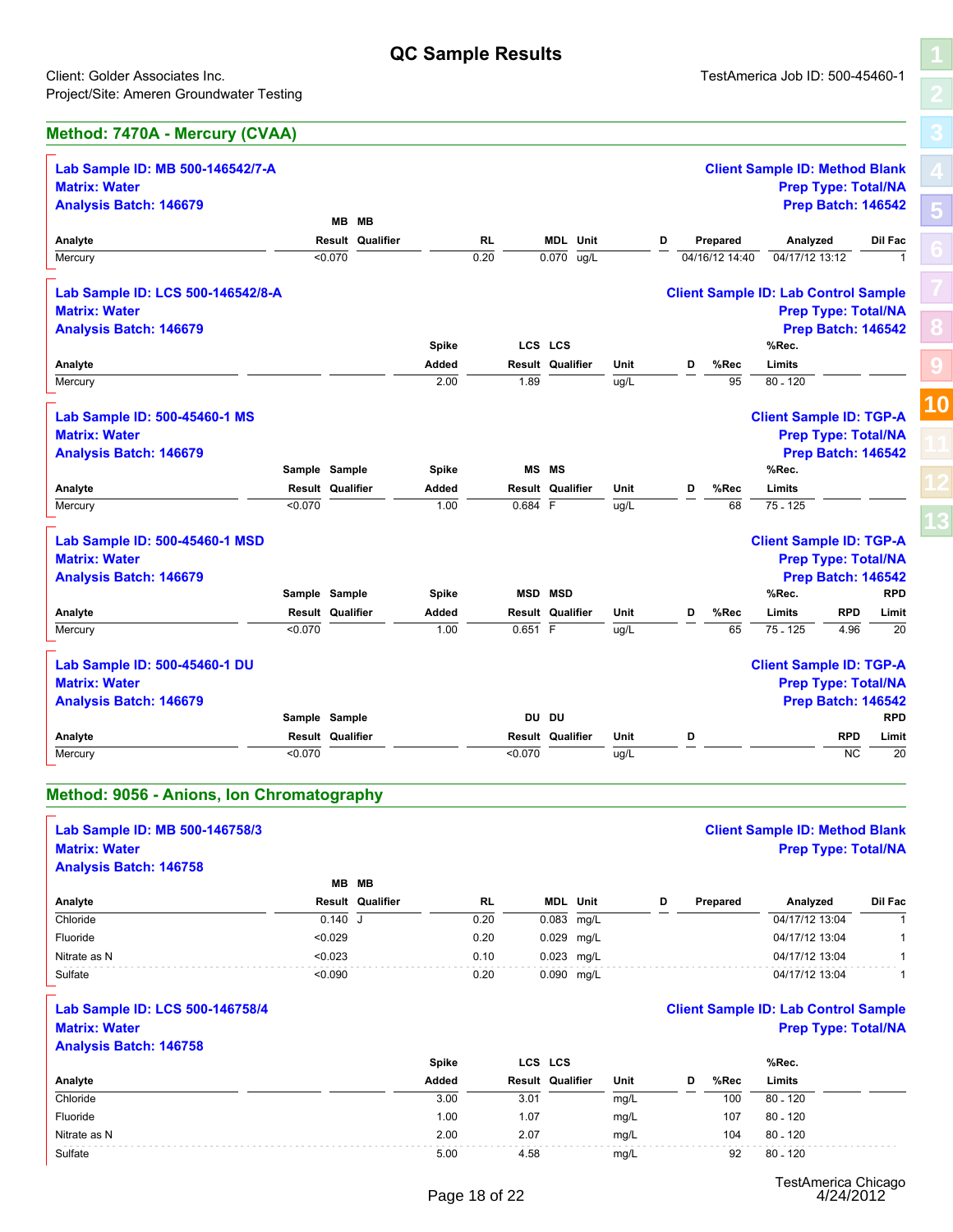CS LCS<br>
sult Qualifier Unit D<br>  $\frac{D}{u g/L}$  D<br>
MS MS<br>
MS MS<br>  $\frac{D}{884}$  F<br>  $\frac{D}{F}$   $\frac{Un}{u g/L}$  D

# **[8](#page-15-0) [9](#page-16-0)**

| :lient: Golder Associates Inc.          |         |                  |              |      |      |                         |      |   |   |                | l estAmerica Job ID: 500-45460-1            |         |
|-----------------------------------------|---------|------------------|--------------|------|------|-------------------------|------|---|---|----------------|---------------------------------------------|---------|
| roject/Site: Ameren Groundwater Testing |         |                  |              |      |      |                         |      |   |   |                |                                             |         |
| <b>Method: 7470A - Mercury (CVAA)</b>   |         |                  |              |      |      |                         |      |   |   |                |                                             |         |
| Lab Sample ID: MB 500-146542/7-A        |         |                  |              |      |      |                         |      |   |   |                | <b>Client Sample ID: Method Blank</b>       |         |
| <b>Matrix: Water</b>                    |         |                  |              |      |      |                         |      |   |   |                | <b>Prep Type: Total/NA</b>                  |         |
| <b>Analysis Batch: 146679</b>           |         |                  |              |      |      |                         |      |   |   |                | <b>Prep Batch: 146542</b>                   |         |
|                                         |         | MB MB            |              |      |      |                         |      |   |   |                |                                             |         |
| Analyte                                 |         | Result Qualifier |              | RL   |      | <b>MDL</b> Unit         |      | D |   | Prepared       | Analyzed                                    | Dil Fac |
| Mercury                                 | < 0.070 |                  |              | 0.20 |      | 0.070 ug/L              |      |   |   | 04/16/12 14:40 | 04/17/12 13:12                              |         |
| Lab Sample ID: LCS 500-146542/8-A       |         |                  |              |      |      |                         |      |   |   |                | <b>Client Sample ID: Lab Control Sample</b> |         |
| <b>Matrix: Water</b>                    |         |                  |              |      |      |                         |      |   |   |                | <b>Prep Type: Total/NA</b>                  |         |
| <b>Analysis Batch: 146679</b>           |         |                  |              |      |      |                         |      |   |   |                | <b>Prep Batch: 146542</b>                   |         |
|                                         |         |                  | <b>Spike</b> |      |      | LCS LCS                 |      |   |   |                | %Rec.                                       |         |
| Analyte                                 |         |                  | Added        |      |      | <b>Result Qualifier</b> | Unit |   | D | %Rec           | Limits                                      |         |
| Mercury                                 |         |                  | 2.00         |      | 1.89 |                         | ug/L |   |   | 95             | 80 - 120                                    |         |
|                                         |         |                  |              |      |      |                         |      |   |   |                |                                             |         |
| Lab Sample ID: 500-45460-1 MS           |         |                  |              |      |      |                         |      |   |   |                | <b>Client Sample ID: TGP-A</b>              |         |
|                                         |         |                  |              |      |      |                         |      |   |   |                |                                             |         |

| LCS LCS<br>%Rec.                                                                                      |  |
|-------------------------------------------------------------------------------------------------------|--|
| <b>Spike</b>                                                                                          |  |
| Analyte<br>%Rec<br>Limits<br>Added<br><b>Result Qualifier</b><br>Unit<br>D                            |  |
| Mercury<br>2.00<br>80 - 120<br>1.89<br>95<br>ug/L                                                     |  |
| Lab Sample ID: 500-45460-1 MS<br><b>Client Sample ID: TGP-A</b>                                       |  |
| <b>Matrix: Water</b><br><b>Prep Type: Total/NA</b>                                                    |  |
| <b>Prep Batch: 146542</b><br><b>Analysis Batch: 146679</b>                                            |  |
| <b>MS MS</b><br>Sample Sample<br>%Rec.<br><b>Spike</b>                                                |  |
| Analyte<br><b>Result Qualifier</b><br>%Rec<br><b>Result Qualifier</b><br>Unit<br>Limits<br>Added<br>D |  |
| $75 - 125$<br>Mercury<br>$0.684$ F<br>< 0.070<br>1.00<br>68<br>ug/L                                   |  |
|                                                                                                       |  |
| Lab Sample ID: 500-45460-1 MSD<br><b>Client Sample ID: TGP-A</b>                                      |  |

|                | <b>Prep Type: Total/NA</b> |  |
|----------------|----------------------------|--|
|                | <b>Prep Batch: 146542</b>  |  |
|                | %Rec.                      |  |
| ١C             | Limits                     |  |
| $\overline{8}$ | 75.125                     |  |

| Lab Sample ID: 500-45460-1 MSD |               |       |                | <b>Client Sample ID: TGP-A</b> |            |  |
|--------------------------------|---------------|-------|----------------|--------------------------------|------------|--|
| <b>Matrix: Water</b>           |               |       |                | <b>Prep Type: Total/NA</b>     |            |  |
| Analysis Batch: 146679         |               |       |                | <b>Prep Batch: 146542</b>      |            |  |
|                                | Sample Sample | Spike | <b>MSD MSD</b> | %Rec.                          | <b>RPD</b> |  |

| <b>Matrix: Water</b>           |         |                         |       |           |                         |      |   |      |                                | <b>Prep Type: Total/NA</b> |            |  |
|--------------------------------|---------|-------------------------|-------|-----------|-------------------------|------|---|------|--------------------------------|----------------------------|------------|--|
| <b>Analysis Batch: 146679</b>  |         |                         |       |           |                         |      |   |      |                                | <b>Prep Batch: 146542</b>  |            |  |
|                                |         | Sample Sample           | Spike |           | <b>MS MS</b>            |      |   |      | %Rec.                          |                            |            |  |
| Analyte                        |         | <b>Result Qualifier</b> | Added |           | <b>Result Qualifier</b> | Unit | D | %Rec | Limits                         |                            |            |  |
| Mercury                        | < 0.070 |                         | 1.00  | $0.684$ F |                         | ug/L |   | 68   | 75 - 125                       |                            |            |  |
| Lab Sample ID: 500-45460-1 MSD |         |                         |       |           |                         |      |   |      | <b>Client Sample ID: TGP-A</b> |                            |            |  |
| <b>Matrix: Water</b>           |         |                         |       |           |                         |      |   |      |                                | <b>Prep Type: Total/NA</b> |            |  |
| <b>Analysis Batch: 146679</b>  |         |                         |       |           |                         |      |   |      |                                | <b>Prep Batch: 146542</b>  |            |  |
|                                |         | Sample Sample           | Spike |           | <b>MSD MSD</b>          |      |   |      | %Rec.                          |                            | <b>RPD</b> |  |
| Analyte                        |         | <b>Result Qualifier</b> | Added |           | <b>Result Qualifier</b> | Unit | D | %Rec | Limits                         | <b>RPD</b>                 | Limit      |  |
| Mercury                        | < 0.070 |                         | 1.00  | 0.651 F   |                         | ug/L |   | 65   | 75 - 125                       | 4.96                       | 20         |  |
| Lab Sample ID: 500-45460-1 DU  |         |                         |       |           |                         |      |   |      | <b>Client Sample ID: TGP-A</b> |                            |            |  |

| <b>Matrix: Water</b>          |         |                         |       |         |                         |      |   |      |                                | <b>Prep Type: Total/NA</b> |            |
|-------------------------------|---------|-------------------------|-------|---------|-------------------------|------|---|------|--------------------------------|----------------------------|------------|
| <b>Analysis Batch: 146679</b> |         |                         |       |         |                         |      |   |      |                                | <b>Prep Batch: 146542</b>  |            |
|                               |         | Sample Sample           | Spike |         | <b>MSD MSD</b>          |      |   |      | %Rec.                          |                            | <b>RPD</b> |
| Analyte                       |         | <b>Result Qualifier</b> | Added |         | Result Qualifier        | Unit | D | %Rec | Limits                         | <b>RPD</b>                 | Limit      |
| Mercury                       | < 0.070 |                         | 1.00  | 0.651 F |                         | ug/L |   | 65   | 75 - 125                       | 4.96                       | 20         |
| Lab Sample ID: 500-45460-1 DU |         |                         |       |         |                         |      |   |      | <b>Client Sample ID: TGP-A</b> |                            |            |
| <b>Matrix: Water</b>          |         |                         |       |         |                         |      |   |      |                                | <b>Prep Type: Total/NA</b> |            |
| <b>Analysis Batch: 146679</b> |         |                         |       |         |                         |      |   |      |                                | <b>Prep Batch: 146542</b>  |            |
|                               |         | Sample Sample           |       |         | DU DU                   |      |   |      |                                |                            | <b>RPD</b> |
| Analyte                       |         | <b>Result Qualifier</b> |       |         | <b>Result Qualifier</b> | Unit | D |      |                                | RPD                        | Limit      |
| Mercury                       | < 0.070 |                         |       | < 0.070 |                         | ug/L |   |      |                                | NC                         | 20         |

#### **Method: 9056 - Anions, Ion Chromatography**

|                                           | Sample Sample |                         |       |           | טע טע            |      |   |   |          |                                             | <b>KPD</b>          |
|-------------------------------------------|---------------|-------------------------|-------|-----------|------------------|------|---|---|----------|---------------------------------------------|---------------------|
| Analyte                                   |               | Result Qualifier        |       |           | Result Qualifier | Unit |   | D |          |                                             | Limit<br><b>RPD</b> |
| Mercury                                   | < 0.070       |                         |       | < 0.070   |                  | ug/L |   |   |          |                                             | <b>NC</b><br>20     |
|                                           |               |                         |       |           |                  |      |   |   |          |                                             |                     |
| Method: 9056 - Anions, Ion Chromatography |               |                         |       |           |                  |      |   |   |          |                                             |                     |
| Lab Sample ID: MB 500-146758/3            |               |                         |       |           |                  |      |   |   |          | <b>Client Sample ID: Method Blank</b>       |                     |
| <b>Matrix: Water</b>                      |               |                         |       |           |                  |      |   |   |          | <b>Prep Type: Total/NA</b>                  |                     |
| <b>Analysis Batch: 146758</b>             |               |                         |       |           |                  |      |   |   |          |                                             |                     |
|                                           |               | MB MB                   |       |           |                  |      |   |   |          |                                             |                     |
| Analyte                                   |               | <b>Result Qualifier</b> |       | <b>RL</b> | <b>MDL</b> Unit  |      | D |   | Prepared | Analyzed                                    | Dil Fac             |
| Chloride                                  |               | 0.140 J                 |       | 0.20      | 0.083 mg/L       |      |   |   |          | 04/17/12 13:04                              |                     |
| Fluoride                                  |               | < 0.029                 |       | 0.20      | 0.029 mg/L       |      |   |   |          | 04/17/12 13:04                              |                     |
| Nitrate as N                              |               | < 0.023                 |       | 0.10      | 0.023 mg/L       |      |   |   |          | 04/17/12 13:04                              |                     |
| Sulfate                                   |               | < 0.090                 |       | 0.20      | 0.090 mg/L       |      |   |   |          | 04/17/12 13:04                              |                     |
| Lab Sample ID: LCS 500-146758/4           |               |                         |       |           |                  |      |   |   |          | <b>Client Sample ID: Lab Control Sample</b> |                     |
| <b>Matrix: Water</b>                      |               |                         |       |           |                  |      |   |   |          | <b>Prep Type: Total/NA</b>                  |                     |
| <b>Analysis Batch: 146758</b>             |               |                         |       |           |                  |      |   |   |          |                                             |                     |
|                                           |               |                         | Spike |           | LCS LCS          |      |   |   |          | %Rec.                                       |                     |
| Analyte                                   |               |                         | Added |           | Result Qualifier | Unit |   | D | %Rec     | Limits                                      |                     |
| Chloride                                  |               |                         | 3.00  | 3.01      |                  | mg/L |   |   | 100      | $80 - 120$                                  |                     |

#### **Lab Sample ID: LCS 500-146758/4 Client Sample ID: Lab Control Sample Matrix: Water Prep Type: Total/NA**

#### **Analysis Batch: 146758**

| Chloride                        | 0.140 J |              | 0.20          | 0.083 mg/L              |      |   |      | 04/17/12 13:04                              |  |
|---------------------------------|---------|--------------|---------------|-------------------------|------|---|------|---------------------------------------------|--|
| Fluoride                        | < 0.029 |              | 0.20          | 0.029 mg/L              |      |   |      | 04/17/12 13:04                              |  |
| Nitrate as N                    | < 0.023 |              | 0.10          | 0.023 mg/L              |      |   |      | 04/17/12 13:04                              |  |
| Sulfate                         | < 0.090 |              | 0.20          | 0.090 mg/L              |      |   |      | 04/17/12 13:04                              |  |
| Lab Sample ID: LCS 500-146758/4 |         |              |               |                         |      |   |      | <b>Client Sample ID: Lab Control Sample</b> |  |
| <b>Matrix: Water</b>            |         |              |               |                         |      |   |      | <b>Prep Type: Total/NA</b>                  |  |
| <b>Analysis Batch: 146758</b>   |         |              |               |                         |      |   |      |                                             |  |
|                                 |         | <b>Spike</b> |               | LCS LCS                 |      |   |      | %Rec.                                       |  |
| Analyte                         |         | Added        |               | <b>Result Qualifier</b> | Unit | D | %Rec | Limits                                      |  |
| Chloride                        |         | 3.00         | 3.01          |                         | mg/L |   | 100  | $80 - 120$                                  |  |
| Fluoride                        |         | 1.00         | 1.07          |                         | mg/L |   | 107  | $80 - 120$                                  |  |
| Nitrate as N                    |         | 2.00         | 2.07          |                         | mg/L |   | 104  | $80 - 120$                                  |  |
| Sulfate                         |         | 5.00         | 4.58          |                         | mg/L |   | 92   | $80 - 120$                                  |  |
|                                 |         |              | Page 18 of 22 |                         |      |   |      | TestAmerica Chicago<br>4/24/2012            |  |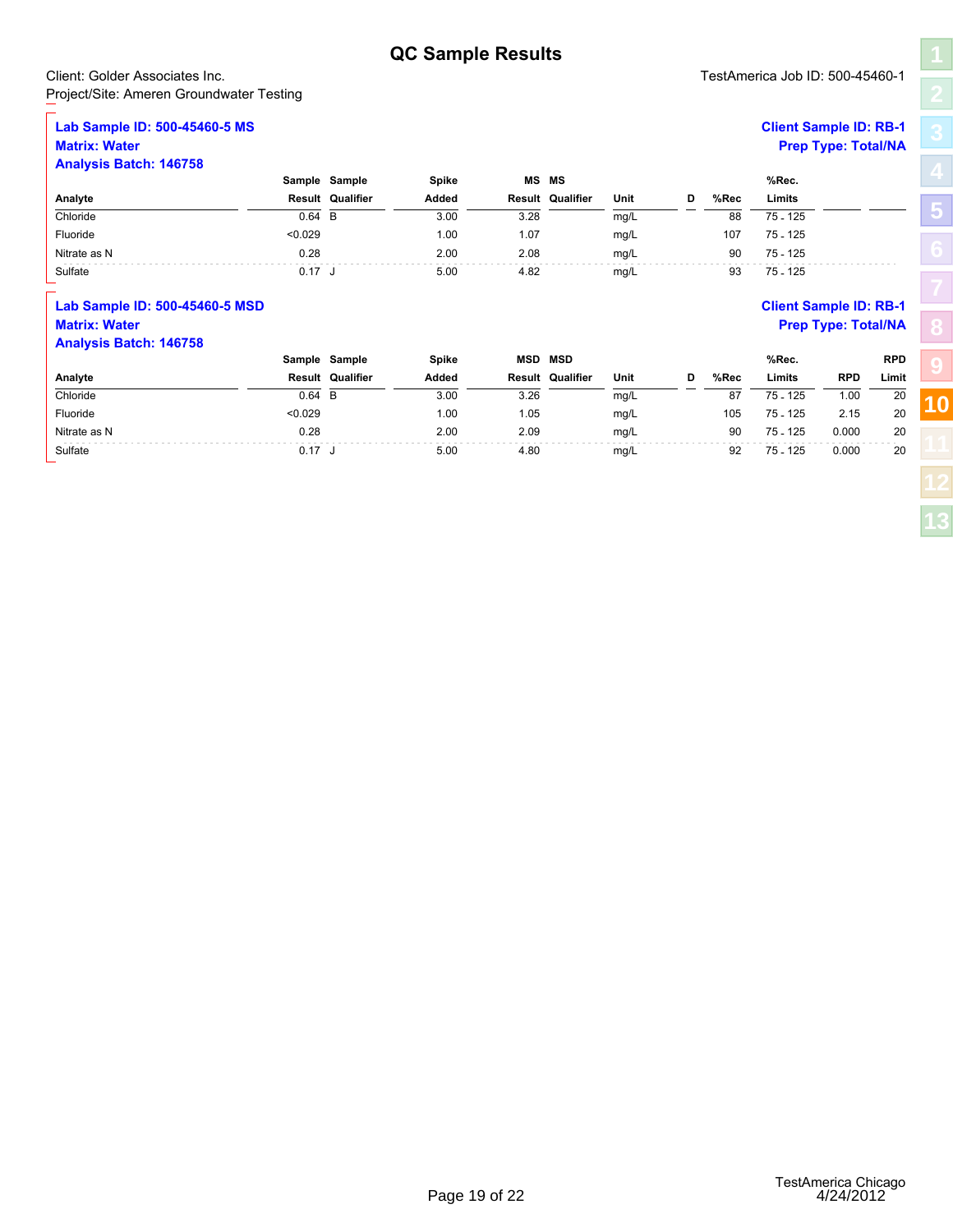#### Client: Golder Associates Inc. TestAmerica Job ID: 500-45460-1 Project/Site: Ameren Groundwater Testing

#### **Lab Sample ID: 500-45460-5 MS Client Sample ID: RB-1 Matrix: Water Prep Type: Total/NA**

|                                          |          |                         | <b>QC Sample Results</b> |        |                         |      |   |      |                                 |                            |            |
|------------------------------------------|----------|-------------------------|--------------------------|--------|-------------------------|------|---|------|---------------------------------|----------------------------|------------|
| Client: Golder Associates Inc.           |          |                         |                          |        |                         |      |   |      | TestAmerica Job ID: 500-45460-1 |                            |            |
| Project/Site: Ameren Groundwater Testing |          |                         |                          |        |                         |      |   |      |                                 |                            |            |
| Lab Sample ID: 500-45460-5 MS            |          |                         |                          |        |                         |      |   |      | <b>Client Sample ID: RB-1</b>   |                            |            |
| <b>Matrix: Water</b>                     |          |                         |                          |        |                         |      |   |      |                                 | <b>Prep Type: Total/NA</b> |            |
| <b>Analysis Batch: 146758</b>            |          |                         |                          |        |                         |      |   |      |                                 |                            |            |
|                                          |          | Sample Sample           | Spike                    |        | <b>MS MS</b>            |      |   |      | %Rec.                           |                            |            |
| Analyte                                  |          | <b>Result Qualifier</b> | Added                    |        | <b>Result Qualifier</b> | Unit | D | %Rec | Limits                          |                            |            |
| Chloride                                 | $0.64$ B |                         | 3.00                     | 3.28   |                         | mg/L |   | 88   | $75 - 125$                      |                            |            |
| Fluoride                                 | < 0.029  |                         | 1.00                     | 1.07   |                         | mg/L |   | 107  | 75 - 125                        |                            |            |
| Nitrate as N                             | 0.28     |                         | 2.00                     | 2.08   |                         | mg/L |   | 90   | $75 - 125$                      |                            |            |
| Sulfate                                  | $0.17$ J |                         | 5.00                     | 4.82   |                         | mg/L |   | 93   | $75 - 125$                      |                            |            |
| Lab Sample ID: 500-45460-5 MSD           |          |                         |                          |        |                         |      |   |      | <b>Client Sample ID: RB-1</b>   |                            |            |
| <b>Matrix: Water</b>                     |          |                         |                          |        |                         |      |   |      |                                 | <b>Prep Type: Total/NA</b> |            |
| <b>Analysis Batch: 146758</b>            |          |                         |                          |        |                         |      |   |      |                                 |                            |            |
|                                          |          | Sample Sample           | Spike                    | MSD    | <b>MSD</b>              |      |   |      | %Rec.                           |                            | <b>RPD</b> |
| Analyte                                  |          | <b>Result Qualifier</b> | Added                    | Result | Qualifier               | Unit | D | %Rec | Limits                          | <b>RPD</b>                 | Limit      |
| Chloride                                 | 0.64     | B                       | 3.00                     | 3.26   |                         | mg/L |   | 87   | 75 - 125                        | 1.00                       | 20         |

#### **Lab Sample ID: 500-45460-5 MSD Client Sample ID: RB-1 Matrix: Water Prep Type: Total/NA Analysis Batch: 146758**

| Chloride                       | $0.64$ B |                  | 3.00  | 3.28 |                         | mg/L |   | 88   | 75 - 125                      |                            |            | $\cup$ |
|--------------------------------|----------|------------------|-------|------|-------------------------|------|---|------|-------------------------------|----------------------------|------------|--------|
| Fluoride                       | < 0.029  |                  | 1.00  | 1.07 |                         | mg/L |   | 107  | 75 - 125                      |                            |            |        |
| Nitrate as N                   | 0.28     |                  | 2.00  | 2.08 |                         | mg/L |   | 90   | 75 - 125                      |                            |            |        |
| Sulfate                        | 0.17 J   |                  | 5.00  | 4.82 |                         | mg/L |   | 93   | 75 - 125                      |                            |            |        |
| Lab Sample ID: 500-45460-5 MSD |          |                  |       |      |                         |      |   |      | <b>Client Sample ID: RB-1</b> |                            |            |        |
| <b>Matrix: Water</b>           |          |                  |       |      |                         |      |   |      |                               | <b>Prep Type: Total/NA</b> |            |        |
| <b>Analysis Batch: 146758</b>  |          |                  |       |      |                         |      |   |      |                               |                            |            |        |
|                                |          | Sample Sample    | Spike |      | <b>MSD MSD</b>          |      |   |      | %Rec.                         |                            | <b>RPD</b> |        |
|                                |          |                  |       |      |                         |      |   |      |                               |                            |            |        |
| Analyte                        |          | Result Qualifier | Added |      | <b>Result Qualifier</b> | Unit | D | %Rec | Limits                        | <b>RPD</b>                 | Limit      |        |
| Chloride                       | $0.64$ B |                  | 3.00  | 3.26 |                         | mg/L |   | 87   | 75 - 125                      | 1.00                       | 20         |        |
| Fluoride                       | < 0.029  |                  | 1.00  | 1.05 |                         | mg/L |   | 105  | 75 - 125                      | 2.15                       | 20         |        |
| Nitrate as N                   | 0.28     |                  | 2.00  | 2.09 |                         | mg/L |   | 90   | 75 - 125                      | 0.000                      | 20         |        |
| Sulfate                        | $0.17$ J |                  | 5.00  | 4.80 |                         | mg/L |   | 92   | 75 - 125                      | 0.000                      | 20         |        |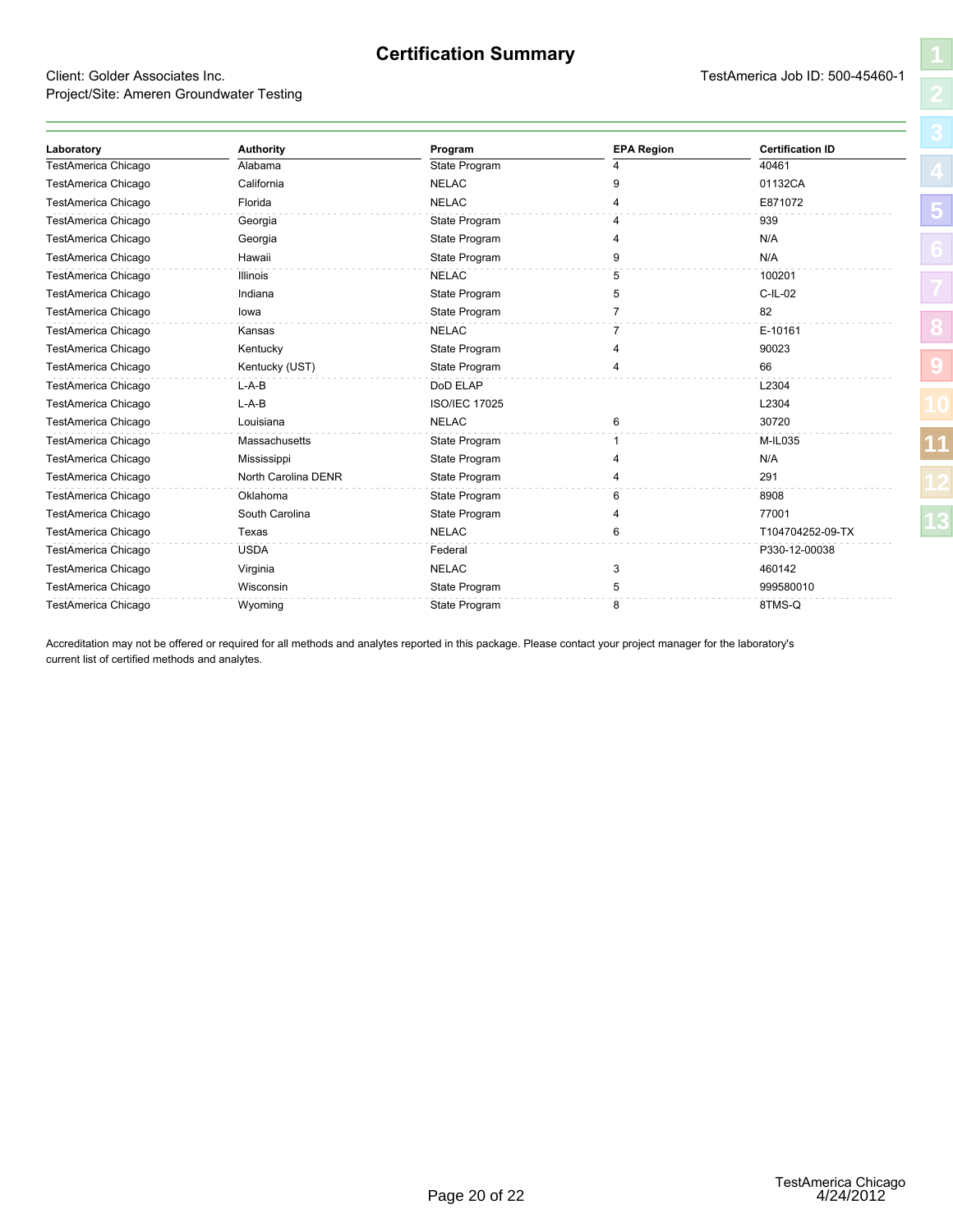#### **Certification Summary**

#### <span id="page-22-1"></span><span id="page-22-0"></span>Client: Golder Associates Inc. TestAmerica Job ID: 500-45460-1 Project/Site: Ameren Groundwater Testing

| ۱                       |
|-------------------------|
| l                       |
| ì,                      |
| 4                       |
| $\overline{5}$          |
| l<br>$\epsilon$         |
| ľ                       |
| $\overline{\mathbf{S}}$ |
| $\overline{\mathbf{a}}$ |
|                         |
|                         |
|                         |

| Laboratory          | <b>Authority</b>    | Program              | <b>EPA Region</b> | <b>Certification ID</b> |
|---------------------|---------------------|----------------------|-------------------|-------------------------|
| TestAmerica Chicago | Alabama             | State Program        |                   | 40461                   |
| TestAmerica Chicago | California          | <b>NELAC</b>         | 9                 | 01132CA                 |
| TestAmerica Chicago | Florida             | <b>NELAC</b>         |                   | E871072                 |
| TestAmerica Chicago | Georgia             | State Program        |                   | 939                     |
| TestAmerica Chicago | Georgia             | State Program        |                   | N/A                     |
| TestAmerica Chicago | Hawaii              | State Program        | q                 | N/A                     |
| TestAmerica Chicago | <b>Illinois</b>     | <b>NELAC</b>         | 5                 | 100201                  |
| TestAmerica Chicago | Indiana             | State Program        | 5                 | $C$ -IL-02              |
| TestAmerica Chicago | lowa                | State Program        |                   | 82                      |
| TestAmerica Chicago | Kansas              | <b>NELAC</b>         |                   | E-10161                 |
| TestAmerica Chicago | Kentucky            | State Program        |                   | 90023                   |
| TestAmerica Chicago | Kentucky (UST)      | State Program        |                   | 66                      |
| TestAmerica Chicago | $L-A-B$             | DoD ELAP             |                   | L2304                   |
| TestAmerica Chicago | $L-A-B$             | <b>ISO/IEC 17025</b> |                   | L2304                   |
| TestAmerica Chicago | Louisiana           | <b>NELAC</b>         | 6                 | 30720                   |
| TestAmerica Chicago | Massachusetts       | State Program        |                   | M-IL035                 |
| TestAmerica Chicago | Mississippi         | State Program        |                   | N/A                     |
| TestAmerica Chicago | North Carolina DENR | State Program        |                   | 291                     |
| TestAmerica Chicago | Oklahoma            | State Program        | 6                 | 8908                    |
| TestAmerica Chicago | South Carolina      | State Program        |                   | 77001                   |
| TestAmerica Chicago | Texas               | <b>NELAC</b>         | 6                 | T104704252-09-TX        |
| TestAmerica Chicago | <b>USDA</b>         | Federal              |                   | P330-12-00038           |
| TestAmerica Chicago | Virginia            | <b>NELAC</b>         | 3                 | 460142                  |
| TestAmerica Chicago | Wisconsin           | State Program        | 5                 | 999580010               |
| TestAmerica Chicago | Wyoming             | State Program        | 8                 | 8TMS-Q                  |

Accreditation may not be offered or required for all methods and analytes reported in this package. Please contact your project manager for the laboratory's current list of certified methods and analytes.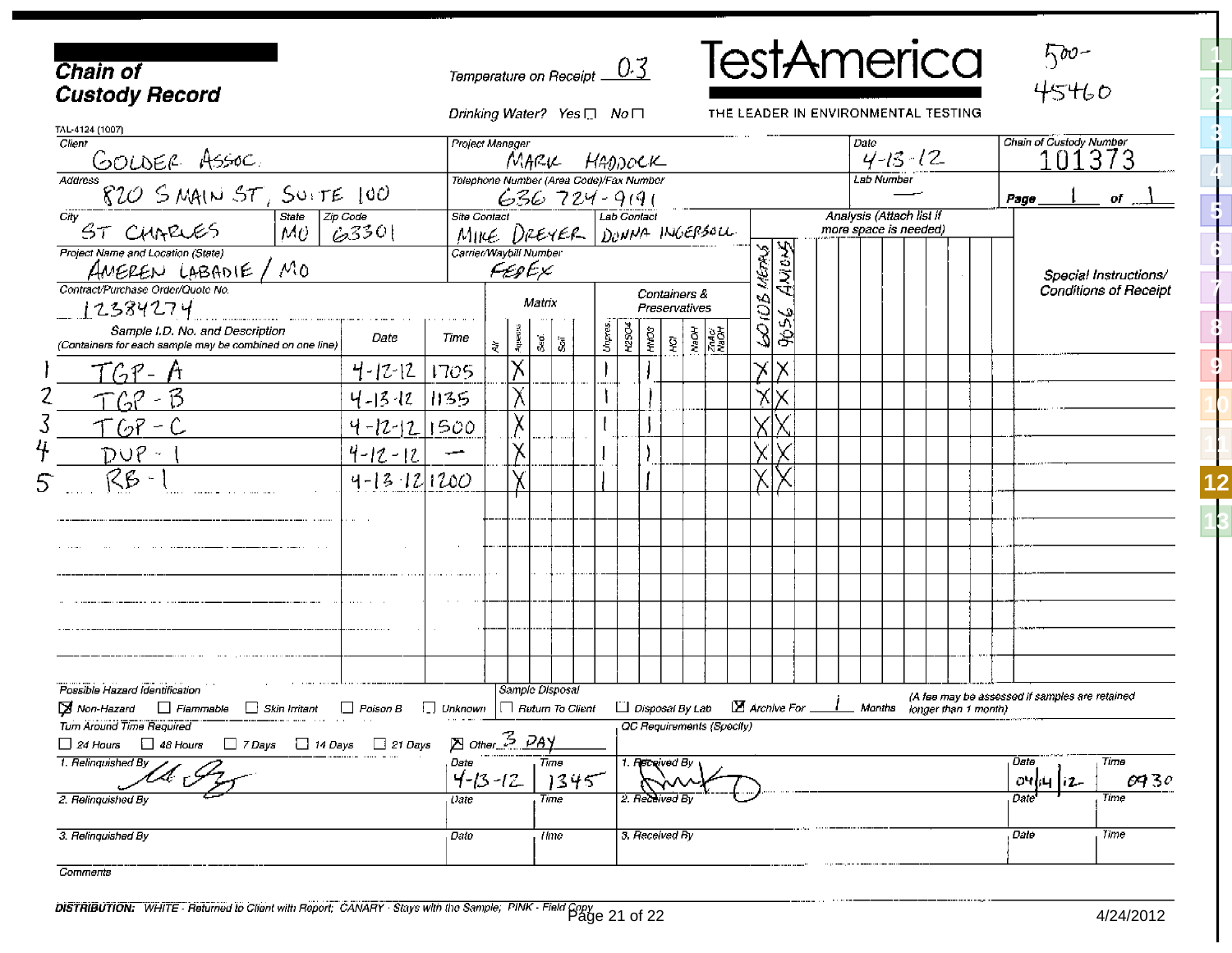<span id="page-23-1"></span><span id="page-23-0"></span>

| <b>Chain of</b><br><b>Custody Record</b>                                                        |                                                                                                                |                                        | Temperature on Receipt $\underline{\hspace{1em} 0.3}$ |                                 |                 |        |                                      |                                |  |                                                                                                 |                           |                             |                            |             |  |  |                                                   | <b>TestAmerica</b>                  |                      |  |  |                              | $500 -$<br>45460        |                                                |  |
|-------------------------------------------------------------------------------------------------|----------------------------------------------------------------------------------------------------------------|----------------------------------------|-------------------------------------------------------|---------------------------------|-----------------|--------|--------------------------------------|--------------------------------|--|-------------------------------------------------------------------------------------------------|---------------------------|-----------------------------|----------------------------|-------------|--|--|---------------------------------------------------|-------------------------------------|----------------------|--|--|------------------------------|-------------------------|------------------------------------------------|--|
| TAL-4124 (1007)                                                                                 |                                                                                                                |                                        | Drinking Water? Yes □ No                              |                                 |                 |        |                                      |                                |  |                                                                                                 |                           |                             |                            |             |  |  |                                                   | THE LEADER IN ENVIRONMENTAL TESTING |                      |  |  |                              |                         |                                                |  |
| Client                                                                                          |                                                                                                                |                                        | Project Manager                                       |                                 | MARK HADDOCK    |        |                                      |                                |  |                                                                                                 |                           |                             |                            |             |  |  | Date                                              | $4 - 15 - 12$                       |                      |  |  |                              | Chain of Custody Number | l373                                           |  |
| <u>GOLDER ASSOC.</u><br>"820 SMAIN ST, SUITE 100<br>Address                                     |                                                                                                                |                                        | Telephone Number (Area Code)/Fax Number               |                                 | $636724 - 9191$ |        |                                      |                                |  |                                                                                                 |                           |                             |                            |             |  |  | Lab Number                                        |                                     |                      |  |  | Page                         |                         | $of$ <sub>r</sub>                              |  |
| City<br>ST CHARLES                                                                              | $\begin{array}{ l } \hline \text{State} & \text{Zip Code} \ \hline \text{MU} & \text{GS} \end{array}$<br>63301 |                                        |                                                       |                                 | MIKE DREYER $ $ |        |                                      | Lab Contact<br>DONNA INGEPSOLL |  |                                                                                                 |                           |                             |                            |             |  |  | Analysis (Attach list if<br>more space is needed) |                                     |                      |  |  |                              |                         |                                                |  |
| Project Name and Location (State)<br>AMEREN LABADIE / MO                                        |                                                                                                                |                                        |                                                       | Carrier/Waybill Number<br>FEDEX |                 |        |                                      |                                |  |                                                                                                 |                           |                             | NETAS                      | AntuS       |  |  |                                                   |                                     |                      |  |  |                              | Special Instructions/   |                                                |  |
| Contract/Purchase Order/Quote No.<br>- 12384274                                                 |                                                                                                                |                                        |                                                       |                                 | Matrix          |        | Containers &<br><b>Preservatives</b> |                                |  |                                                                                                 | šoi                       |                             |                            |             |  |  |                                                   |                                     |                      |  |  | <b>Conditions of Receipl</b> |                         |                                                |  |
| Sample I.D. No. and Description<br>(Containers for each sample may be combined on one line)     | Date                                                                                                           | Time                                   | ₹                                                     | Appeaus                         | $\frac{d}{dS}$  | Unpres | <b>42SO4</b>                         | HMO3                           |  | $\mathbf{Q}$ $\begin{bmatrix} \mathbf{g} & \mathbf{g} \\ \mathbf{g} & \mathbf{g} \end{bmatrix}$ |                           |                             | 3                          | ್ಲಿ<br>انتي |  |  |                                                   |                                     |                      |  |  |                              |                         |                                                |  |
| $T G P -$                                                                                       | $4 - 12 - 12$                                                                                                  | 1705                                   |                                                       | ΙX.                             |                 |        |                                      |                                |  |                                                                                                 |                           |                             | $\boldsymbol{\times}$<br>Х |             |  |  |                                                   |                                     |                      |  |  |                              |                         |                                                |  |
| TGP - B                                                                                         | 4-13-12 1135                                                                                                   |                                        |                                                       | χ                               |                 |        |                                      |                                |  |                                                                                                 |                           |                             | ΧI                         |             |  |  |                                                   |                                     |                      |  |  |                              |                         |                                                |  |
| TGP-C                                                                                           | $4 - 12 - 12$ 1500                                                                                             |                                        |                                                       | $\bar{\chi}$                    |                 |        |                                      |                                |  |                                                                                                 |                           |                             |                            |             |  |  |                                                   |                                     |                      |  |  |                              |                         |                                                |  |
| $DUP =$                                                                                         | $4 - 12 - 12$                                                                                                  |                                        |                                                       | χ                               |                 |        |                                      |                                |  |                                                                                                 |                           |                             |                            |             |  |  |                                                   |                                     |                      |  |  |                              |                         |                                                |  |
| RB -                                                                                            | $4 - 13$ $12$ $1200$                                                                                           |                                        |                                                       | χ                               |                 |        |                                      |                                |  |                                                                                                 |                           |                             |                            |             |  |  |                                                   |                                     |                      |  |  |                              |                         |                                                |  |
|                                                                                                 |                                                                                                                |                                        |                                                       |                                 |                 |        |                                      |                                |  |                                                                                                 |                           |                             |                            |             |  |  |                                                   |                                     |                      |  |  |                              |                         |                                                |  |
|                                                                                                 |                                                                                                                |                                        |                                                       |                                 |                 |        |                                      |                                |  |                                                                                                 |                           |                             |                            |             |  |  |                                                   |                                     |                      |  |  |                              |                         |                                                |  |
|                                                                                                 |                                                                                                                |                                        |                                                       |                                 |                 |        |                                      |                                |  |                                                                                                 |                           |                             |                            |             |  |  |                                                   |                                     |                      |  |  |                              |                         |                                                |  |
|                                                                                                 |                                                                                                                |                                        |                                                       |                                 |                 |        |                                      |                                |  |                                                                                                 |                           |                             |                            |             |  |  |                                                   |                                     |                      |  |  |                              |                         |                                                |  |
|                                                                                                 |                                                                                                                |                                        |                                                       |                                 |                 |        |                                      |                                |  |                                                                                                 |                           |                             |                            |             |  |  |                                                   |                                     |                      |  |  |                              |                         |                                                |  |
|                                                                                                 |                                                                                                                |                                        |                                                       |                                 |                 |        |                                      |                                |  |                                                                                                 |                           |                             |                            |             |  |  |                                                   |                                     |                      |  |  |                              |                         |                                                |  |
| Possible Hazard Identification                                                                  |                                                                                                                |                                        |                                                       |                                 | Sample Disposal |        |                                      |                                |  |                                                                                                 |                           |                             |                            |             |  |  |                                                   |                                     |                      |  |  |                              |                         |                                                |  |
| Mon-Hazard<br>Fiammable<br>Skin Irritant                                                        | Poison B                                                                                                       | $\Box$ Unknown $\Box$ Return To Client |                                                       |                                 |                 |        | $\Box$ Disposal By Lab               |                                |  |                                                                                                 |                           | $\Sigma$ Archive For $\_\_$ |                            |             |  |  | Months                                            |                                     | longer than 1 month) |  |  |                              |                         | (A fee may be assessed if samples are retained |  |
| Turn Around Time Required<br>$\Box$ 7 Days $\Box$ 14 Days<br>$\Box$ 48 Hours<br>$\Box$ 24 Hours | $\Box$ 21 Days                                                                                                 |                                        | <b>E</b> other <sup>3</sup> PAY                       |                                 |                 |        |                                      |                                |  |                                                                                                 | OC Requirements (Specity) |                             |                            |             |  |  |                                                   |                                     |                      |  |  |                              |                         |                                                |  |
| 1. Relinquished By                                                                              |                                                                                                                | Date                                   | $4 - 13 - 12$                                         |                                 | Time<br>1345    |        |                                      | 1. Received By                 |  |                                                                                                 |                           |                             |                            |             |  |  |                                                   |                                     |                      |  |  | Dete<br>ाराज                 |                         | Time<br>0730                                   |  |
| 2. Relinquished By                                                                              |                                                                                                                | t ate.                                 |                                                       |                                 | Time            |        |                                      | 2. Re≿ <del>il</del> ived By   |  |                                                                                                 |                           |                             |                            |             |  |  |                                                   |                                     |                      |  |  | Date                         |                         | Time                                           |  |
| 3. Relinquished By                                                                              |                                                                                                                | Date                                   |                                                       |                                 | <b>Time</b>     |        |                                      | 3. Received By                 |  |                                                                                                 |                           |                             |                            |             |  |  |                                                   |                                     |                      |  |  | Date                         |                         | <b>Time</b>                                    |  |

Comments